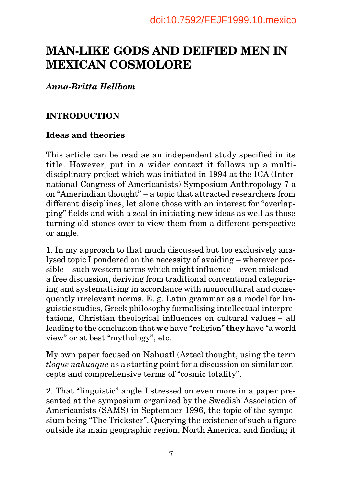### doi:10.7592/FEJF1999.10.mexico

# **MAN-LIKE GODS AND DEIFIED MEN IN MEXICAN COSMOLORE**

*Anna-Britta Hellbom*

#### **INTRODUCTION**

#### **Ideas and theories**

This article can be read as an independent study specified in its title. However, put in a wider context it follows up a multidisciplinary project which was initiated in 1994 at the ICA (International Congress of Americanists) Symposium Anthropology 7 a on "Amerindian thought" – a topic that attracted researchers from different disciplines, let alone those with an interest for "overlapping" fields and with a zeal in initiating new ideas as well as those turning old stones over to view them from a different perspective or angle.

1. In my approach to that much discussed but too exclusively analysed topic I pondered on the necessity of avoiding – wherever possible – such western terms which might influence – even mislead – a free discussion, deriving from traditional conventional categorising and systematising in accordance with monocultural and consequently irrelevant norms. E. g. Latin grammar as a model for linguistic studies, Greek philosophy formalising intellectual interpretations, Christian theological influences on cultural values – all leading to the conclusion that **we** have "religion" **they** have "a world view" or at best "mythology", etc.

My own paper focused on Nahuatl (Aztec) thought, using the term *tloque nahuaque* as a starting point for a discussion on similar concepts and comprehensive terms of "cosmic totality".

2. That "linguistic" angle I stressed on even more in a paper presented at the symposium organized by the Swedish Association of Americanists (SAMS) in September 1996, the topic of the symposium being "The Trickster". Querying the existence of such a figure outside its main geographic region, North America, and finding it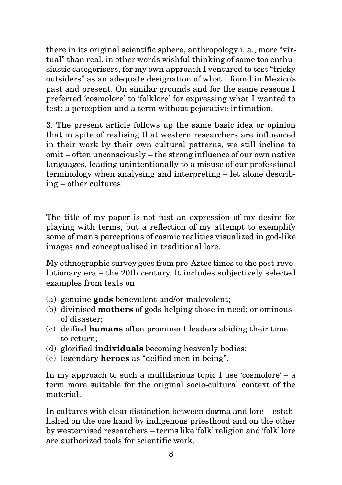there in its original scientific sphere, anthropology i. a., more "virtual" than real, in other words wishful thinking of some too enthusiastic categorisers, for my own approach I ventured to test "tricky outsiders" as an adequate designation of what I found in Mexico's past and present. On similar grounds and for the same reasons I preferred 'cosmolore' to 'folklore' for expressing what I wanted to test: a perception and a term without pejorative intimation.

3. The present article follows up the same basic idea or opinion that in spite of realising that western researchers are influenced in their work by their own cultural patterns, we still incline to omit – often unconsciously – the strong influence of our own native languages, leading unintentionally to a misuse of our professional terminology when analysing and interpreting – let alone describing – other cultures.

The title of my paper is not just an expression of my desire for playing with terms, but a reflection of my attempt to exemplify some of man's perceptions of cosmic realities visualized in god-like images and conceptualised in traditional lore.

My ethnographic survey goes from pre-Aztec times to the post-revolutionary era – the 20th century. It includes subjectively selected examples from texts on

- (a) genuine **gods** benevolent and/or malevolent;
- (b) divinised **mothers** of gods helping those in need; or ominous of disaster;
- (c) deified **humans** often prominent leaders abiding their time to return;
- (d) glorified **individuals** becoming heavenly bodies;
- (e) legendary **heroes** as "deified men in being".

In my approach to such a multifarious topic I use 'cosmolore' – a term more suitable for the original socio-cultural context of the material.

In cultures with clear distinction between dogma and lore – established on the one hand by indigenous priesthood and on the other by westernised researchers – terms like 'folk' religion and 'folk' lore are authorized tools for scientific work.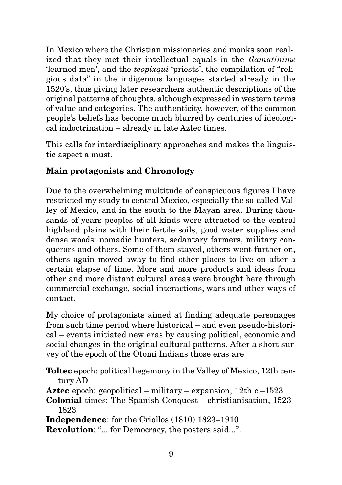In Mexico where the Christian missionaries and monks soon realized that they met their intellectual equals in the *tlamatinime* 'learned men', and the *teopixqui* 'priests', the compilation of "religious data" in the indigenous languages started already in the 1520's, thus giving later researchers authentic descriptions of the original patterns of thoughts, although expressed in western terms of value and categories. The authenticity, however, of the common people's beliefs has become much blurred by centuries of ideological indoctrination – already in late Aztec times.

This calls for interdisciplinary approaches and makes the linguistic aspect a must.

### **Main protagonists and Chronology**

Due to the overwhelming multitude of conspicuous figures I have restricted my study to central Mexico, especially the so-called Valley of Mexico, and in the south to the Mayan area. During thousands of years peoples of all kinds were attracted to the central highland plains with their fertile soils, good water supplies and dense woods: nomadic hunters, sedantary farmers, military conquerors and others. Some of them stayed, others went further on, others again moved away to find other places to live on after a certain elapse of time. More and more products and ideas from other and more distant cultural areas were brought here through commercial exchange, social interactions, wars and other ways of contact.

My choice of protagonists aimed at finding adequate personages from such time period where historical – and even pseudo-historical – events initiated new eras by causing political, economic and social changes in the original cultural patterns. After a short survey of the epoch of the Otomí Indians those eras are

**Toltec** epoch: political hegemony in the Valley of Mexico, 12th century AD

**Aztec** epoch: geopolitical – military – expansion, 12th c.–1523

**Colonial** times: The Spanish Conquest – christianisation, 1523– 1823

**Independence**: for the Criollos (1810) 1823–1910

**Revolution:** "... for Democracy, the posters said...".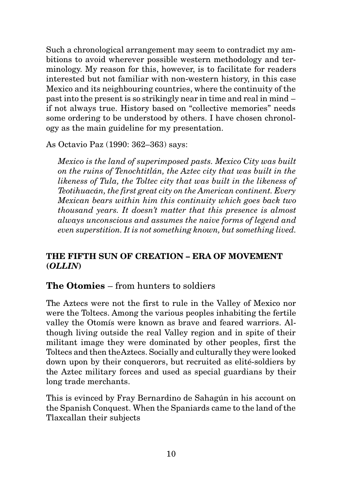Such a chronological arrangement may seem to contradict my ambitions to avoid wherever possible western methodology and terminology. My reason for this, however, is to facilitate for readers interested but not familiar with non-western history, in this case Mexico and its neighbouring countries, where the continuity of the past into the present is so strikingly near in time and real in mind – if not always true. History based on "collective memories" needs some ordering to be understood by others. I have chosen chronology as the main guideline for my presentation.

As Octavio Paz (1990: 362–363) says:

*Mexico is the land of superimposed pasts. Mexico City was built on the ruins of Tenochtitlán, the Aztec city that was built in the likeness of Tula, the Toltec city that was built in the likeness of Teotihuacán, the first great city on the American continent. Every Mexican bears within him this continuity which goes back two thousand years. It doesn't matter that this presence is almost always unconscious and assumes the naive forms of legend and even superstition. It is not something known, but something lived*.

### **THE FIFTH SUN OF CREATION – ERA OF MOVEMENT (***OLLIN***)**

### **The Otomies** – from hunters to soldiers

The Aztecs were not the first to rule in the Valley of Mexico nor were the Toltecs. Among the various peoples inhabiting the fertile valley the Otomís were known as brave and feared warriors. Although living outside the real Valley region and in spite of their militant image they were dominated by other peoples, first the Toltecs and then the Aztecs. Socially and culturally they were looked down upon by their conquerors, but recruited as elité-soldiers by the Aztec military forces and used as special guardians by their long trade merchants.

This is evinced by Fray Bernardino de Sahagún in his account on the Spanish Conquest. When the Spaniards came to the land of the Tlaxcallan their subjects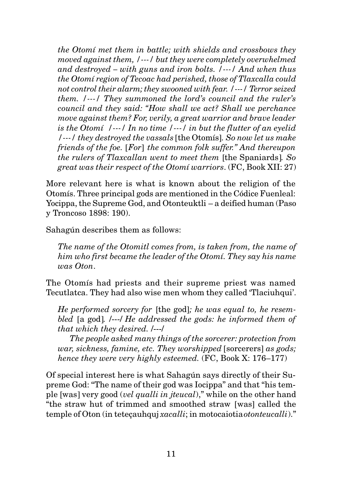*the Otomí met them in battle; with shields and crossbows they moved against them, /---/ but they were completely overwhelmed and destroyed – with guns and iron bolts. /---/ And when thus the Otomí region of Tecoac had perished, those of Tlaxcalla could not control their alarm; they swooned with fear. /---/ Terror seized them. /---/ They summoned the lord's council and the ruler's council and they said: "How shall we act? Shall we perchance move against them? For, verily, a great warrior and brave leader is the Otomí /---/ In no time /---/ in but the flutter of an eyelid /---/ they destroyed the vassals* [the Otomís]*. So now let us make friends of the foe.* [*For*] *the common folk suffer." And thereupon the rulers of Tlaxcallan went to meet them* [the Spaniards]*. So great was their respect of the Otomí warriors*. (FC, Book XII: 27)

More relevant here is what is known about the religion of the Otomís. Three principal gods are mentioned in the Códice Fuenleal: Yocippa, the Supreme God, and Otonteuktli – a deified human (Paso y Troncoso 1898: 190).

Sahagún describes them as follows:

*The name of the Otomitl comes from, is taken from, the name of him who first became the leader of the Otomí. They say his name was Oton*.

The Otomís had priests and their supreme priest was named Tecutlatca. They had also wise men whom they called 'Tlaciuhqui'.

*He performed sorcery for* [the god]*; he was equal to, he resembled* [a god]*.* /---/ *He addressed the gods: he informed them of that which they desired.* /---/

*The people asked many things of the sorcerer: protection from war, sickness, famine, etc. They worshipped* [sorcerers] *as gods; hence they were very highly esteemed.* (FC, Book X: 176–177)

Of special interest here is what Sahagún says directly of their Supreme God: "The name of their god was Iocippa" and that "his temple [was] very good (*vel qualli in jteucal*)," while on the other hand "the straw hut of trimmed and smoothed straw [was] called the temple of Oton (in teteçauhquj *xacalli*; in motocaiotia *otonteucalli*)."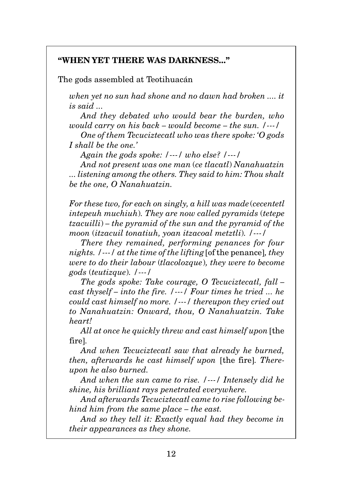#### **"WHEN YET THERE WAS DARKNESS..."**

The gods assembled at Teotihuacán

*when yet no sun had shone and no dawn had broken .... it is said ...*

*And they debated who would bear the burden, who would carry on his back – would become – the sun. /---/*

*One of them Tecuciztecatl who was there spoke: 'O gods I shall be the one.'*

*Again the gods spoke: /---/ who else? /---/*

*And not present was one man* (*ce tlacatl*) *Nanahuatzin ... listening among the others. They said to him: Thou shalt be the one, O Nanahuatzin.*

*For these two, for each on singly, a hill was made* (*cecentetl intepeuh muchiuh*)*. They are now called pyramids* (*tetepe tzacuilli*) *– the pyramid of the sun and the pyramid of the moon* (*itzacuil tonatiuh, yoan itzacoal metztli*)*. /---/*

*There they remained, performing penances for four nights. /---/ at the time of the lifting* [of the penance]*, they were to do their labour* (*tlacolozque*)*, they were to become gods* (*teutizque*)*. /---/*

*The gods spoke: Take courage, O Tecuciztecatl, fall – cast thyself – into the fire. /---/ Four times he tried ... he could cast himself no more. /---/ thereupon they cried out to Nanahuatzin: Onward, thou, O Nanahuatzin. Take heart!*

*All at once he quickly threw and cast himself upon* [the fire]*.*

*And when Tecuciztecatl saw that already he burned, then, afterwards he cast himself upon* [the fire]*. Thereupon he also burned.*

*And when the sun came to rise. /---/ Intensely did he shine, his brilliant rays penetrated everywhere.*

*And afterwards Tecuciztecatl came to rise following behind him from the same place – the east.*

*And so they tell it: Exactly equal had they become in their appearances as they shone.*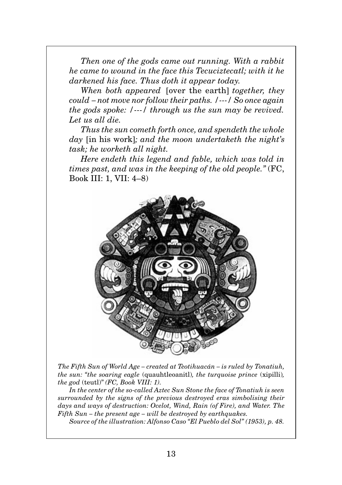*Then one of the gods came out running. With a rabbit he came to wound in the face this Tecuciztecatl; with it he darkened his face. Thus doth it appear today.*

*When both appeared* [over the earth] *together, they could – not move nor follow their paths. /---/ So once again the gods spoke: /---/ through us the sun may be revived. Let us all die.*

*Thus the sun cometh forth once, and spendeth the whole day* [in his work]*; and the moon undertaketh the night's task; he worketh all night.*

*Here endeth this legend and fable, which was told in times past, and was in the keeping of the old people."* (FC, Book III: 1, VII: 4–8)



*The Fifth Sun of World Age – created at Teotihuacán – is ruled by Tonatiuh, the sun: "the soaring eagle* (quauhtleoanitl)*, the turquoise prince* (xipilli)*, the god* (teutl)" *(FC, Book VIII: 1).*

*In the center of the so-called Aztec Sun Stone the face of Tonatiuh is seen surrounded by the signs of the previous destroyed eras simbolising their days and ways of destruction: Ocelot, Wind, Rain (of Fire), and Water. The Fifth Sun – the present age – will be destroyed by earthquakes.*

*Source of the illustration: Alfonso Caso "El Pueblo del Sol" (1953), p. 48.*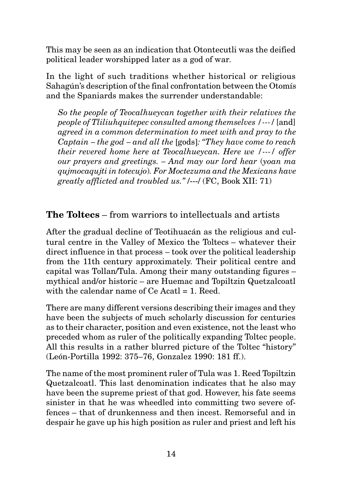This may be seen as an indication that Otontecutli was the deified political leader worshipped later as a god of war.

In the light of such traditions whether historical or religious Sahagún's description of the final confrontation between the Otomís and the Spaniards makes the surrender understandable:

*So the people of Teocalhueycan together with their relatives the people of Tliliuhquitepec consulted among themselves /---/* [and] *agreed in a common determination to meet with and pray to the Captain – the god – and all the* [gods]*: "They have come to reach their revered home here at Teocalhueycan. Here we /---/ offer our prayers and greetings. – And may our lord hear* (*yoan ma qujmocaqujti in totecujo*)*. For Moctezuma and the Mexicans have greatly afflicted and troubled us."* /---/ (FC, Book XII: 71)

## **The Toltecs** – from warriors to intellectuals and artists

After the gradual decline of Teotihuacán as the religious and cultural centre in the Valley of Mexico the Toltecs – whatever their direct influence in that process – took over the political leadership from the 11th century approximately. Their political centre and capital was Tollan/Tula. Among their many outstanding figures – mythical and/or historic – are Huemac and Topiltzin Quetzalcoatl with the calendar name of  $Ce$  Acatl = 1. Reed.

There are many different versions describing their images and they have been the subjects of much scholarly discussion for centuries as to their character, position and even existence, not the least who preceded whom as ruler of the politically expanding Toltec people. All this results in a rather blurred picture of the Toltec "history" (León-Portilla 1992: 375–76, Gonzalez 1990: 181 ff.).

The name of the most prominent ruler of Tula was 1. Reed Topiltzin Quetzalcoatl. This last denomination indicates that he also may have been the supreme priest of that god. However, his fate seems sinister in that he was wheedled into committing two severe offences – that of drunkenness and then incest. Remorseful and in despair he gave up his high position as ruler and priest and left his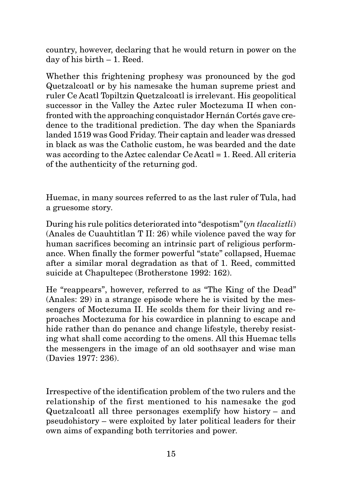country, however, declaring that he would return in power on the day of his birth – 1. Reed.

Whether this frightening prophesy was pronounced by the god Quetzalcoatl or by his namesake the human supreme priest and ruler Ce Acatl Topiltzin Quetzalcoatl is irrelevant. His geopolitical successor in the Valley the Aztec ruler Moctezuma II when confronted with the approaching conquistador Hernán Cortés gave credence to the traditional prediction. The day when the Spaniards landed 1519 was Good Friday. Their captain and leader was dressed in black as was the Catholic custom, he was bearded and the date was according to the Aztec calendar Ce Acatl = 1. Reed. All criteria of the authenticity of the returning god.

Huemac, in many sources referred to as the last ruler of Tula, had a gruesome story.

During his rule politics deteriorated into "despotism" (*yn tlacaliztli*) (Anales de Cuauhtitlan T II: 26) while violence paved the way for human sacrifices becoming an intrinsic part of religious performance. When finally the former powerful "state" collapsed, Huemac after a similar moral degradation as that of 1. Reed, committed suicide at Chapultepec (Brotherstone 1992: 162).

He "reappears", however, referred to as "The King of the Dead" (Anales: 29) in a strange episode where he is visited by the messengers of Moctezuma II. He scolds them for their living and reproaches Moctezuma for his cowardice in planning to escape and hide rather than do penance and change lifestyle, thereby resisting what shall come according to the omens. All this Huemac tells the messengers in the image of an old soothsayer and wise man (Davies 1977: 236).

Irrespective of the identification problem of the two rulers and the relationship of the first mentioned to his namesake the god Quetzalcoatl all three personages exemplify how history – and pseudohistory – were exploited by later political leaders for their own aims of expanding both territories and power.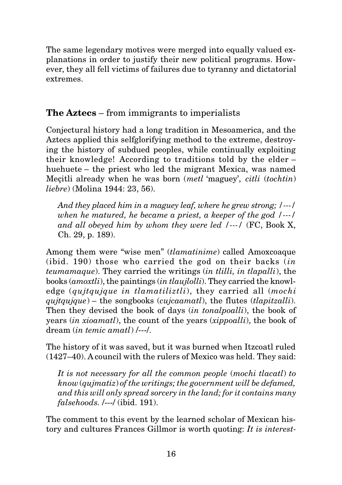The same legendary motives were merged into equally valued explanations in order to justify their new political programs. However, they all fell victims of failures due to tyranny and dictatorial extremes.

## **The Aztecs** – from immigrants to imperialists

Conjectural history had a long tradition in Mesoamerica, and the Aztecs applied this selfglorifying method to the extreme, destroying the history of subdued peoples, while continually exploiting their knowledge! According to traditions told by the elder – huehuete – the priest who led the migrant Mexica, was named Meçitli already when he was born (*metl* 'maguey', *citli* (*tochtin*) *liebre*) (Molina 1944: 23, 56).

*And they placed him in a maguey leaf, where he grew strong; /---/ when he matured, he became a priest, a keeper of the god /---/ and all obeyed him by whom they were led /---/* (FC, Book X, Ch. 29, p. 189).

Among them were "wise men" (*tlamatinime*) called Amoxcoaque (ibid. 190) those who carried the god on their backs (*in teumamaque*). They carried the writings (*in tlilli, in tlapalli*), the books (*amoxtli*), the paintings (*in tlaujlolli*). They carried the knowledge (*qujtqujque in tlamatiliztli*), they carried all (*mochi qujtqujque*) – the songbooks (*cujcaamatl*), the flutes (*tlapitzalli*). Then they devised the book of days (*in tonalpoalli*), the book of years (*in xioamatl*), the count of the years (*xippoalli*), the book of dream (*in temic amatl*) /---/.

The history of it was saved, but it was burned when Itzcoatl ruled (1427–40). A council with the rulers of Mexico was held. They said:

*It is not necessary for all the common people* (*mochi tlacatl*) *to know* (*qujmatiz*) *of the writings; the government will be defamed, and this will only spread sorcery in the land; for it contains many falsehoods.* /---/ (ibid. 191).

The comment to this event by the learned scholar of Mexican history and cultures Frances Gillmor is worth quoting: *It is interest-*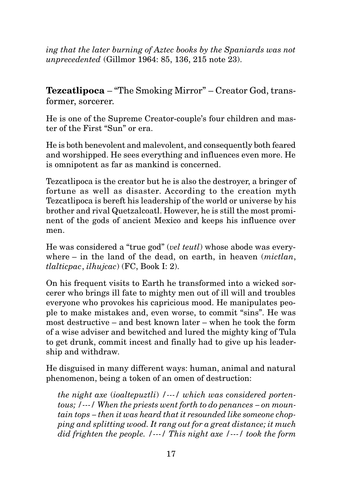*ing that the later burning of Aztec books by the Spaniards was not unprecedented* (Gillmor 1964: 85, 136, 215 note 23).

**Tezcatlipoca** – "The Smoking Mirror" – Creator God, transformer, sorcerer.

He is one of the Supreme Creator-couple's four children and master of the First "Sun" or era.

He is both benevolent and malevolent, and consequently both feared and worshipped. He sees everything and influences even more. He is omnipotent as far as mankind is concerned.

Tezcatlipoca is the creator but he is also the destroyer, a bringer of fortune as well as disaster. According to the creation myth Tezcatlipoca is bereft his leadership of the world or universe by his brother and rival Quetzalcoatl. However, he is still the most prominent of the gods of ancient Mexico and keeps his influence over men.

He was considered a "true god" (*vel teutl*) whose abode was everywhere – in the land of the dead, on earth, in heaven (*mictlan*, *tlalticpac*, *ilhujcac*) (FC, Book I: 2).

On his frequent visits to Earth he transformed into a wicked sorcerer who brings ill fate to mighty men out of ill will and troubles everyone who provokes his capricious mood. He manipulates people to make mistakes and, even worse, to commit "sins". He was most destructive – and best known later – when he took the form of a wise adviser and bewitched and lured the mighty king of Tula to get drunk, commit incest and finally had to give up his leadership and withdraw.

He disguised in many different ways: human, animal and natural phenomenon, being a token of an omen of destruction:

*the night axe* (*ioaltepuztli*) */---/ which was considered portentous; /---/ When the priests went forth to do penances – on mountain tops – then it was heard that it resounded like someone chopping and splitting wood. It rang out for a great distance; it much did frighten the people. /---/ This night axe /---/ took the form*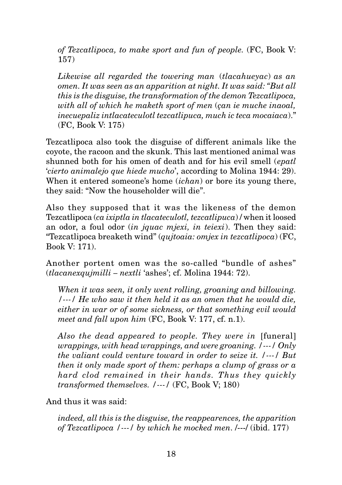*of Tezcatlipoca, to make sport and fun of people.* (FC, Book V: 157)

*Likewise all regarded the towering man* (*tlacahueyac*) *as an omen. It was seen as an apparition at night. It was said: "But all this is the disguise, the transformation of the demon Tezcatlipoca, with all of which he maketh sport of men* (*çan ie muche inaoal, inecuepaliz intlacateculotl tezcatlipuca, much ic teca mocaiaca*)." (FC, Book V: 175)

Tezcatlipoca also took the disguise of different animals like the coyote, the racoon and the skunk. This last mentioned animal was shunned both for his omen of death and for his evil smell (*epatl* '*cierto animalejo que hiede mucho*', according to Molina 1944: 29). When it entered someone's home (*ichan*) or bore its young there, they said: "Now the householder will die".

Also they supposed that it was the likeness of the demon Tezcatlipoca (*ca ixiptla in tlacateculotl, tezcatlipuca*) / when it loosed an odor, a foul odor (*in jquac mjexi, in teiexi*). Then they said: "Tezcatlipoca breaketh wind" (*qujtoaia: omjex in tezcatlipoca*) (FC, Book V: 171).

Another portent omen was the so-called "bundle of ashes" (*tlacanexqujmilli – nextli* 'ashes'; cf. Molina 1944: 72).

*When it was seen, it only went rolling, groaning and billowing. /---/ He who saw it then held it as an omen that he would die, either in war or of some sickness, or that something evil would meet and fall upon him* (FC, Book V: 177, cf. n.1).

*Also the dead appeared to people. They were in* [funeral] *wrappings, with head wrappings, and were groaning. /---/ Only the valiant could venture toward in order to seize it. /---/ But then it only made sport of them: perhaps a clump of grass or a hard clod remained in their hands. Thus they quickly transformed themselves. /---/* (FC, Book V; 180)

And thus it was said:

*indeed, all this is the disguise, the reappearences, the apparition of Tezcatlipoca /---/ by which he mocked men*. /---/ (ibid. 177)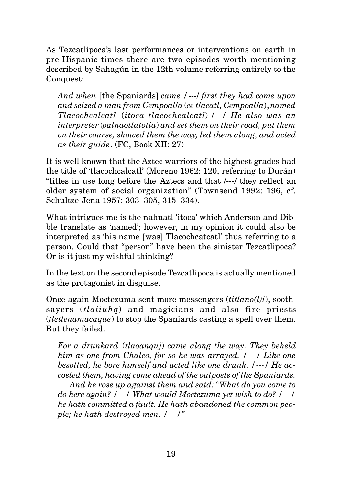As Tezcatlipoca's last performances or interventions on earth in pre-Hispanic times there are two episodes worth mentioning described by Sahagún in the 12th volume referring entirely to the Conquest:

*And when* [the Spaniards] *came /*---/ *first they had come upon and seized a man from Cempoalla* (*ce tlacatl, Cempoalla*), *named Tlacochcalcatl* (*itoca tlacochcalcatl*) /---/ *He also was an interpreter* (*oalnaotlatotia*) *and set them on their road, put them on their course, showed them the way, led them along, and acted as their guide*. (FC, Book XII: 27)

It is well known that the Aztec warriors of the highest grades had the title of 'tlacochcalcatl' (Moreno 1962: 120, referring to Durán) "titles in use long before the Aztecs and that /---/ they reflect an older system of social organization" (Townsend 1992: 196, cf. Schultze-Jena 1957: 303–305, 315–334).

What intrigues me is the nahuatl 'itoca' which Anderson and Dibble translate as 'named'; however, in my opinion it could also be interpreted as 'his name [was] Tlacochcatcatl' thus referring to a person. Could that "person" have been the sinister Tezcatlipoca? Or is it just my wishful thinking?

In the text on the second episode Tezcatlipoca is actually mentioned as the protagonist in disguise.

Once again Moctezuma sent more messengers (*titlano(l)i*), soothsayers (*tlaiiuhq*) and magicians and also fire priests (*tletlenamacaque*) to stop the Spaniards casting a spell over them. But they failed.

*For a drunkard* (*tlaoanquj*) *came along the way. They beheld him as one from Chalco, for so he was arrayed. /---/ Like one besotted, he bore himself and acted like one drunk. /---/ He accosted them, having come ahead of the outposts of the Spaniards.*

*And he rose up against them and said: "What do you come to do here again? /---/ What would Moctezuma yet wish to do? /---/ he hath committed a fault. He hath abandoned the common people; he hath destroyed men. /---/"*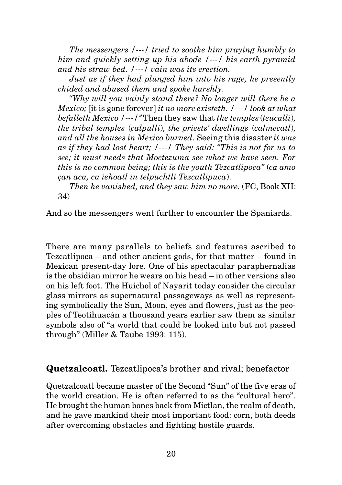*The messengers /---/ tried to soothe him praying humbly to him and quickly setting up his abode /---/ his earth pyramid and his straw bed. /---/ vain was its erection.*

*Just as if they had plunged him into his rage, he presently chided and abused them and spoke harshly.*

*"Why will you vainly stand there? No longer will there be a Mexico;* [it is gone forever] *it no more existeth. /---/ look at what befalleth Mexico /---/"* Then they saw that *the temples* (*teucalli*)*, the tribal temples* (*calpulli*)*, the priests' dwellings* (*calmecatl*)*, and all the houses in Mexico burned*. Seeing this disaster *it was as if they had lost heart; /---/ They said: "This is not for us to see; it must needs that Moctezuma see what we have seen. For this is no common being; this is the youth Tezcatlipoca"* (*ca amo çan aca, ca iehoatl in telpuchtli Tezcatlipuca*).

*Then he vanished, and they saw him no more.* (FC, Book XII: 34)

And so the messengers went further to encounter the Spaniards.

There are many parallels to beliefs and features ascribed to Tezcatlipoca – and other ancient gods, for that matter – found in Mexican present-day lore. One of his spectacular paraphernalias is the obsidian mirror he wears on his head – in other versions also on his left foot. The Huichol of Nayarit today consider the circular glass mirrors as supernatural passageways as well as representing symbolically the Sun, Moon, eyes and flowers, just as the peoples of Teotihuacán a thousand years earlier saw them as similar symbols also of "a world that could be looked into but not passed through" (Miller & Taube 1993: 115).

#### **Quetzalcoatl.** Tezcatlipoca's brother and rival; benefactor

Quetzalcoatl became master of the Second "Sun" of the five eras of the world creation. He is often referred to as the "cultural hero". He brought the human bones back from Mictlan, the realm of death, and he gave mankind their most important food: corn, both deeds after overcoming obstacles and fighting hostile guards.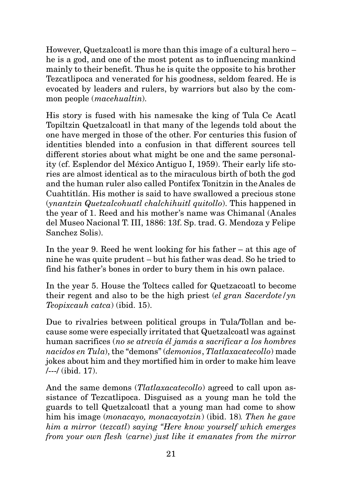However, Quetzalcoatl is more than this image of a cultural hero – he is a god, and one of the most potent as to influencing mankind mainly to their benefit. Thus he is quite the opposite to his brother Tezcatlipoca and venerated for his goodness, seldom feared. He is evocated by leaders and rulers, by warriors but also by the common people (*macehualtin*).

His story is fused with his namesake the king of Tula Ce Acatl Topiltzin Quetzalcoatl in that many of the legends told about the one have merged in those of the other. For centuries this fusion of identities blended into a confusion in that different sources tell different stories about what might be one and the same personality (cf. Esplendor del México Antiguo I, 1959). Their early life stories are almost identical as to the miraculous birth of both the god and the human ruler also called Pontifex Tonitzin in the Anales de Cuahtitlán. His mother is said to have swallowed a precious stone (*ynantzin Quetzalcohuatl chalchihuitl quitollo*). This happened in the year of 1. Reed and his mother's name was Chimanal (Anales del Museo Nacional T. III, 1886: 13f. Sp. trad. G. Mendoza y Felipe Sanchez Solis).

In the year 9. Reed he went looking for his father – at this age of nine he was quite prudent – but his father was dead. So he tried to find his father's bones in order to bury them in his own palace.

In the year 5. House the Toltecs called for Quetzacoatl to become their regent and also to be the high priest (*el gran Sacerdote/yn Teopixcauh catca*) (ibid. 15).

Due to rivalries between political groups in Tula/Tollan and because some were especially irritated that Quetzalcoatl was against human sacrifices (*no se atrevía él jamás a sacrificar a los hombres nacidos en Tula*), the "demons" (*demonios*, *Tlatlaxacatecollo*) made jokes about him and they mortified him in order to make him leave /---/ (ibid. 17).

And the same demons (*Tlatlaxacatecollo*) agreed to call upon assistance of Tezcatlipoca. Disguised as a young man he told the guards to tell Quetzalcoatl that a young man had come to show him his image (*monacayo, monacayotzin*) (ibid. 18)*. Then he gave him a mirror* (*tezcatl*) *saying "Here know yourself which emerges from your own flesh* (*carne*) *just like it emanates from the mirror*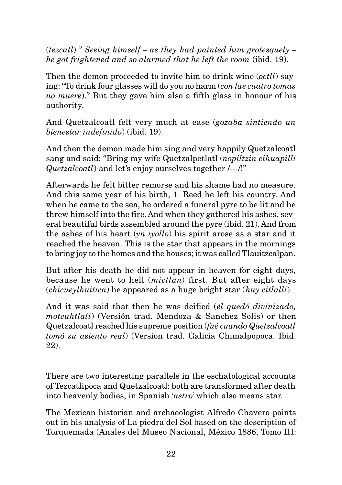(*tezcatl*)*." Seeing himself – as they had painted him grotesquely – he got frightened and so alarmed that he left the room* (ibid. 19).

Then the demon proceeded to invite him to drink wine (*octli*) saying: "To drink four glasses will do you no harm (*con las cuatro tomas no muere*)." But they gave him also a fifth glass in honour of his authority.

And Quetzalcoatl felt very much at ease (*gozaba sintiendo un bienestar indefinido*) (ibid. 19).

And then the demon made him sing and very happily Quetzalcoatl sang and said: "Bring my wife Quetzalpetlatl (*nopiltzin cihuapilli Quetzalcoatl*) and let's enjoy ourselves together /---/!"

Afterwards he felt bitter remorse and his shame had no measure. And this same year of his birth, 1. Reed he left his country. And when he came to the sea, he ordered a funeral pyre to be lit and he threw himself into the fire. And when they gathered his ashes, several beautiful birds assembled around the pyre (ibid. 21). And from the ashes of his heart (*yn iyollo*) his spirit arose as a star and it reached the heaven. This is the star that appears in the mornings to bring joy to the homes and the houses; it was called Tlauitzcalpan.

But after his death he did not appear in heaven for eight days, because he went to hell (*mictlan*) first. But after eight days (*chicueylhuitica*) he appeared as a huge bright star (*huy citlalli*).

And it was said that then he was deified (*él quedó divinizado, moteuhtlali*) (Versión trad. Mendoza & Sanchez Solis) or then Quetzalcoatl reached his supreme position (*fué cuando Quetzalcoatl tomó su asiento real*) (Version trad. Galicia Chimalpopoca. Ibid. 22).

There are two interesting parallels in the eschatological accounts of Tezcatlipoca and Quetzalcoatl: both are transformed after death into heavenly bodies, in Spanish '*astro*' which also means star.

The Mexican historian and archaeologist Alfredo Chavero points out in his analysis of La piedra del Sol based on the description of Torquemada (Anales del Museo Nacional, México 1886, Tomo III: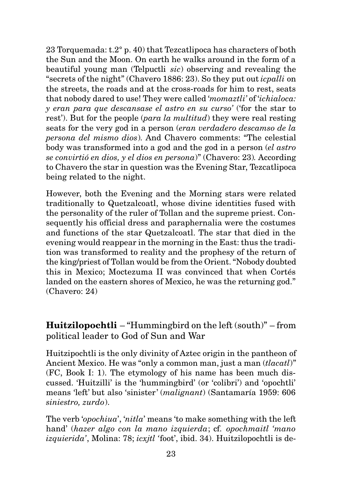23 Torquemada: t.2° p. 40) that Tezcatlipoca has characters of both the Sun and the Moon. On earth he walks around in the form of a beautiful young man (Telpuctli *sic*) observing and revealing the "secrets of the night" (Chavero 1886: 23). So they put out *icpalli* on the streets, the roads and at the cross-roads for him to rest, seats that nobody dared to use! They were called '*momaztli'* of '*ichialoca: y eran para que descansase el astro en su curso'* ('for the star to rest'). But for the people (*para la multitud*) they were real resting seats for the very god in a person (*eran verdadero descamso de la persona del mismo dios*). And Chavero comments: "The celestial body was transformed into a god and the god in a person (*el astro se convirtió en dios, y el dios en persona*)" (Chavero: 23)*.* According to Chavero the star in question was the Evening Star, Tezcatlipoca being related to the night.

However, both the Evening and the Morning stars were related traditionally to Quetzalcoatl, whose divine identities fused with the personality of the ruler of Tollan and the supreme priest. Consequently his official dress and paraphernalia were the costumes and functions of the star Quetzalcoatl. The star that died in the evening would reappear in the morning in the East: thus the tradition was transformed to reality and the prophesy of the return of the king/priest of Tollan would be from the Orient. "Nobody doubted this in Mexico; Moctezuma II was convinced that when Cortés landed on the eastern shores of Mexico, he was the returning god." (Chavero: 24)

**Huitzilopochtli** – "Hummingbird on the left (south)" – from political leader to God of Sun and War

Huitzipochtli is the only divinity of Aztec origin in the pantheon of Ancient Mexico. He was "only a common man, just a man (*tlacatl*)" (FC, Book I: 1). The etymology of his name has been much discussed. 'Huitzilli' is the 'hummingbird' (or 'colibri') and 'opochtli' means 'left' but also 'sinister' (*malignant*) (Santamaría 1959: 606 *siniestro, zurdo*).

The verb '*opochiua*', '*nitla*' means 'to make something with the left hand' (*hazer algo con la mano izquierda*; cf. *opochmaitl 'mano izquierida'*, Molina: 78; *icxjtl '*foot', ibid. 34). Huitzilopochtli is de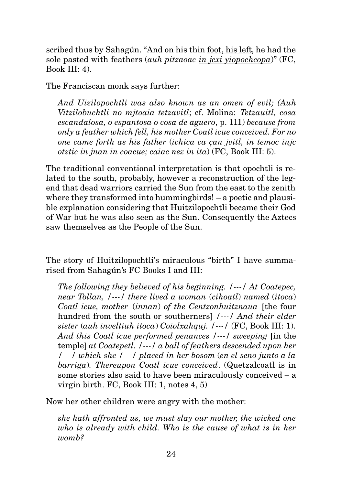scribed thus by Sahagún. "And on his thin foot, his left, he had the sole pasted with feathers (*auh pitzaoac in jcxi yiopochcopa*)" (FC, Book  $III: 4$ .

The Franciscan monk says further:

*And Uizilopochtli was also known as an omen of evil; (Auh Vitzilobuchtli no mjtoaia tetzavitl*; cf. Molina: *Tetzauitl, cosa escandalosa, o espantosa o cosa de aguero*, p. 111) *because from only a feather which fell, his mother Coatl icue conceived. For no one came forth as his father* (*ichica ca çan jvitl, in temoc injc otztic in jnan in coacue; caiac nez in ita*) (FC, Book III: 5).

The traditional conventional interpretation is that opochtli is related to the south, probably, however a reconstruction of the legend that dead warriors carried the Sun from the east to the zenith where they transformed into hummingbirds! – a poetic and plausible explanation considering that Huitzilopochtli became their God of War but he was also seen as the Sun. Consequently the Aztecs saw themselves as the People of the Sun.

The story of Huitzilopochtli's miraculous "birth" I have summarised from Sahagún's FC Books I and III:

*The following they believed of his beginning. /---/ At Coatepec, near Tollan, /---/ there lived a woman* (*cihoatl*) *named* (*itoca*) *Coatl icue, mother* (*innan*) *of the Centzonhuitznaua* [the four hundred from the south or southerners] */---/ And their elder sister* (*auh inveltiuh itoca*) *Coiolxahquj. /---/* (FC, Book III: 1). *And this Coatl icue performed penances /---/ sweeping* [in the temple] *at Coatepetl. /---/ a ball of feathers descended upon her /---/ which she /---/ placed in her bosom* (*en el seno junto a la barriga*)*. Thereupon Coatl icue conceived*. (Quetzalcoatl is in some stories also said to have been miraculously conceived – a virgin birth. FC, Book III: 1, notes 4, 5)

Now her other children were angry with the mother:

*she hath affronted us, we must slay our mother, the wicked one who is already with child. Who is the cause of what is in her womb?*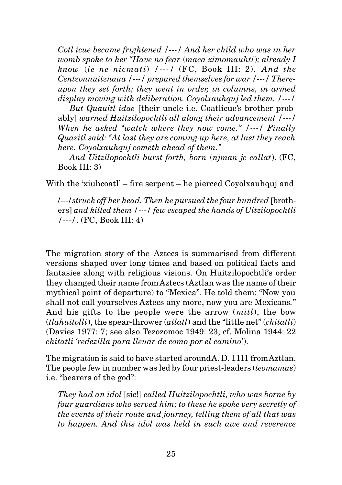*Cotl icue became frightened /---/ And her child who was in her womb spoke to her "Have no fear* (*maca ximomauhti*)*; already I know* (*ie ne nicmati*) */---/* (FC, Book III: 2). *And the Centzonnuitznaua /---/ prepared themselves for war /---/ Thereupon they set forth; they went in order, in columns, in armed display moving with deliberation. Coyolxauhquj led them. /---/*

*But Quauitl idae* [their uncle i.e. Coatlicue's brother probably] *warned Huitzilopochtli all along their advancement /---/ When he asked "watch where they now come." /---/ Finally Quazitl said: "At last they are coming up here, at last they reach here. Coyolxauhquj cometh ahead of them."*

*And Uitzilopochtli burst forth, born* (*njman jc callat*). (FC, Book III: 3)

With the 'xiuhcoatl' – fire serpent – he pierced Coyolxauhquj and

/---/ *struck off her head. Then he pursued the four hundred* [brothers] *and killed them /---/ few escaped the hands of Uitzilopochtli /---/*. (FC, Book III: 4)

The migration story of the Aztecs is summarised from different versions shaped over long times and based on political facts and fantasies along with religious visions. On Huitzilopochtli's order they changed their name from Aztecs (Aztlan was the name of their mythical point of departure) to "Mexica". He told them: "Now you shall not call yourselves Aztecs any more, now you are Mexicans*.*" And his gifts to the people were the arrow (*mitl*), the bow (*tlahuitolli*), the spear-thrower (*atlatl*) and the "little net" (*chitatli*) (Davies 1977: 7; see also Tezozomoc 1949: 23; cf. Molina 1944: 22 *chitatli 'redezilla para lleuar de como por el camino'*).

The migration is said to have started around A. D. 1111 from Aztlan. The people few in number was led by four priest-leaders (*teomamas*) i.e. "bearers of the god":

*They had an idol* [sic!] *called Huitzilopochtli, who was borne by four guardians who served him; to these he spoke very secretly of the events of their route and journey, telling them of all that was to happen. And this idol was held in such awe and reverence*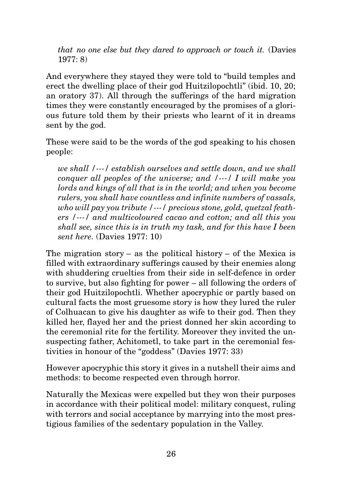*that no one else but they dared to approach or touch it.* (Davies  $1977 \cdot 8$ 

And everywhere they stayed they were told to "build temples and erect the dwelling place of their god Huitzilopochtli" (ibid. 10, 20; an oratory 37). All through the sufferings of the hard migration times they were constantly encouraged by the promises of a glorious future told them by their priests who learnt of it in dreams sent by the god.

These were said to be the words of the god speaking to his chosen people:

*we shall /---/ establish ourselves and settle down, and we shall conquer all peoples of the universe; and /---/ I will make you lords and kings of all that is in the world; and when you become rulers, you shall have countless and infinite numbers of vassals, who will pay you tribute /---/ precious stone, gold, quetzal feathers /---/ and multicoloured cacao and cotton; and all this you shall see, since this is in truth my task, and for this have I been sent here.* (Davies 1977: 10)

The migration story – as the political history – of the Mexica is filled with extraordinary sufferings caused by their enemies along with shuddering cruelties from their side in self-defence in order to survive, but also fighting for power – all following the orders of their god Huitzilopochtli. Whether apocryphic or partly based on cultural facts the most gruesome story is how they lured the ruler of Colhuacan to give his daughter as wife to their god. Then they killed her, flayed her and the priest donned her skin according to the ceremonial rite for the fertility. Moreover they invited the unsuspecting father, Achitometl, to take part in the ceremonial festivities in honour of the "goddess" (Davies 1977: 33)

However apocryphic this story it gives in a nutshell their aims and methods: to become respected even through horror.

Naturally the Mexicas were expelled but they won their purposes in accordance with their political model: military conquest, ruling with terrors and social acceptance by marrying into the most prestigious families of the sedentary population in the Valley.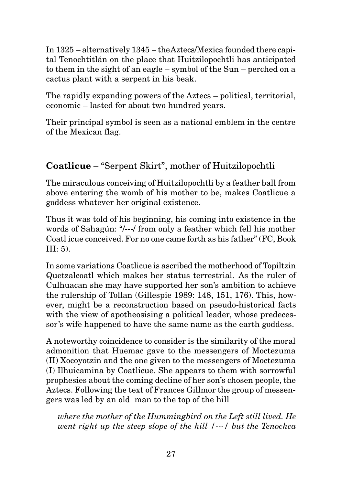In 1325 – alternatively 1345 – the Aztecs/Mexica founded there capital Tenochtitlán on the place that Huitzilopochtli has anticipated to them in the sight of an eagle – symbol of the Sun – perched on a cactus plant with a serpent in his beak.

The rapidly expanding powers of the Aztecs – political, territorial, economic – lasted for about two hundred years.

Their principal symbol is seen as a national emblem in the centre of the Mexican flag.

# **Coatlicue** – "Serpent Skirt", mother of Huitzilopochtli

The miraculous conceiving of Huitzilopochtli by a feather ball from above entering the womb of his mother to be, makes Coatlicue a goddess whatever her original existence.

Thus it was told of his beginning, his coming into existence in the words of Sahagún: "/---/ from only a feather which fell his mother Coatl icue conceived. For no one came forth as his father" (FC, Book  $III: 5$ ).

In some variations Coatlicue is ascribed the motherhood of Topiltzin Quetzalcoatl which makes her status terrestrial. As the ruler of Culhuacan she may have supported her son's ambition to achieve the rulership of Tollan (Gillespie 1989: 148, 151, 176). This, however, might be a reconstruction based on pseudo-historical facts with the view of apotheosising a political leader, whose predecessor's wife happened to have the same name as the earth goddess.

A noteworthy coincidence to consider is the similarity of the moral admonition that Huemac gave to the messengers of Moctezuma (II) Xocoyotzin and the one given to the messengers of Moctezuma (I) Ilhuicamina by Coatlicue. She appears to them with sorrowful prophesies about the coming decline of her son's chosen people, the Aztecs. Following the text of Frances Gillmor the group of messengers was led by an old man to the top of the hill

*where the mother of the Hummingbird on the Left still lived. He went right up the steep slope of the hill /---/ but the Tenochca*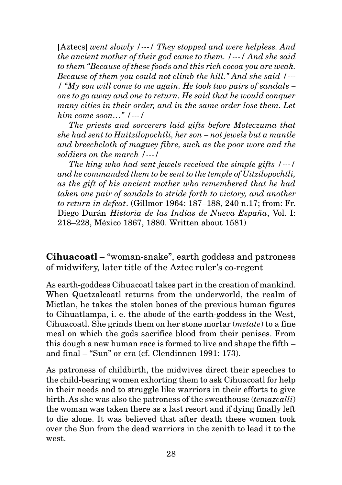[Aztecs] *went slowly /---/ They stopped and were helpless. And the ancient mother of their god came to them. /---/ And she said to them "Because of these foods and this rich cocoa you are weak. Because of them you could not climb the hill." And she said /--- / "My son will come to me again. He took two pairs of sandals – one to go away and one to return. He said that he would conquer many cities in their order, and in the same order lose them. Let him come soon…" /---/*

*The priests and sorcerers laid gifts before Moteczuma that she had sent to Huitzilopochtli, her son – not jewels but a mantle and breechcloth of maguey fibre, such as the poor wore and the soldiers on the march /---/*

*The king who had sent jewels received the simple gifts /---/ and he commanded them to be sent to the temple of Uitzilopochtli, as the gift of his ancient mother who remembered that he had taken one pair of sandals to stride forth to victory, and another to return in defeat*. (Gillmor 1964: 187–188, 240 n.17; from: Fr. Diego Durán *Historia de las Indias de Nueva España*, Vol. I: 218–228, México 1867, 1880. Written about 1581)

**Cihuacoatl** – "woman-snake", earth goddess and patroness of midwifery, later title of the Aztec ruler's co-regent

As earth-goddess Cihuacoatl takes part in the creation of mankind. When Quetzalcoatl returns from the underworld, the realm of Mictlan, he takes the stolen bones of the previous human figures to Cihuatlampa, i. e. the abode of the earth-goddess in the West, Cihuacoatl. She grinds them on her stone mortar (*metate*) to a fine meal on which the gods sacrifice blood from their penises. From this dough a new human race is formed to live and shape the fifth – and final – "Sun" or era (cf. Clendinnen 1991: 173).

As patroness of childbirth, the midwives direct their speeches to the child-bearing women exhorting them to ask Cihuacoatl for help in their needs and to struggle like warriors in their efforts to give birth. As she was also the patroness of the sweathouse (*temazcalli*) the woman was taken there as a last resort and if dying finally left to die alone. It was believed that after death these women took over the Sun from the dead warriors in the zenith to lead it to the west.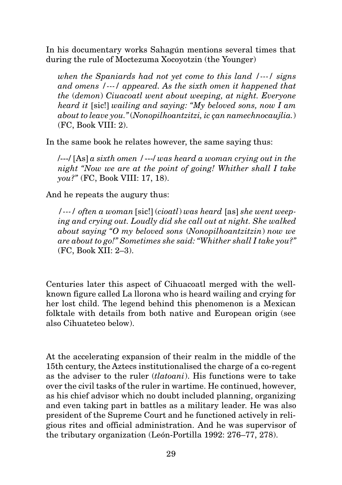In his documentary works Sahagún mentions several times that during the rule of Moctezuma Xocoyotzin (the Younger)

*when the Spaniards had not yet come to this land /---/ signs and omens /---/ appeared. As the sixth omen it happened that the* (*demon*) *Ciuacoatl went about weeping, at night. Everyone heard it* [sic!] *wailing and saying: "My beloved sons, now I am about to leave you."* (*Nonopilhoantzitzi, ic çan namechnocaujlia.*) (FC, Book VIII: 2).

In the same book he relates however, the same saying thus:

/---/ [As] *a sixth omen /*---/ *was heard a woman crying out in the night "Now we are at the point of going! Whither shall I take you?"* (FC, Book VIII: 17, 18).

And he repeats the augury thus:

*/---/ often a woman* [sic!] (*cioatl*) *was heard* [as] *she went weeping and crying out. Loudly did she call out at night. She walked about saying "O my beloved sons* (*Nonopilhoantzitzin*) *now we are about to go!" Sometimes she said: "Whither shall I take you?"* (FC, Book XII: 2–3).

Centuries later this aspect of Cihuacoatl merged with the wellknown figure called La llorona who is heard wailing and crying for her lost child. The legend behind this phenomenon is a Mexican folktale with details from both native and European origin (see also Cihuateteo below).

At the accelerating expansion of their realm in the middle of the 15th century, the Aztecs institutionalised the charge of a co-regent as the adviser to the ruler (*tlatoani*). His functions were to take over the civil tasks of the ruler in wartime. He continued, however, as his chief advisor which no doubt included planning, organizing and even taking part in battles as a military leader. He was also president of the Supreme Court and he functioned actively in religious rites and official administration. And he was supervisor of the tributary organization (León-Portilla 1992: 276–77, 278).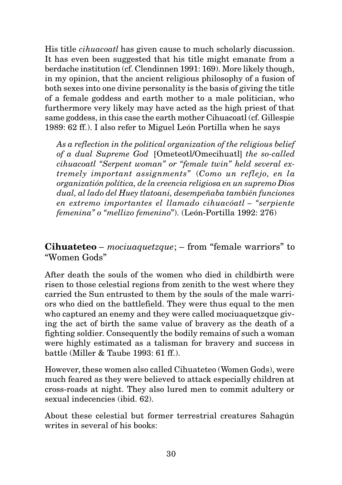His title *cihuacoatl* has given cause to much scholarly discussion. It has even been suggested that his title might emanate from a berdache institution (cf. Clendinnen 1991: 169). More likely though, in my opinion, that the ancient religious philosophy of a fusion of both sexes into one divine personality is the basis of giving the title of a female goddess and earth mother to a male politician, who furthermore very likely may have acted as the high priest of that same goddess, in this case the earth mother Cihuacoatl (cf. Gillespie 1989: 62 ff.). I also refer to Miguel León Portilla when he says

*As a reflection in the political organization of the religious belief of a dual Supreme God* [Ometeotl/Omecihuatl] *the so-called cihuacoatl "Serpent woman" or "female twin" held several extremely important assignments"* (*Como un reflejo, en la organizatión política, de la creencia religiosa en un supremo Dios dual, al lado del Huey tlatoani, desempeñaba también funciones en extremo importantes el llamado cihuacóatl – "serpiente femenina" o "mellizo femenino*"). (León-Portilla 1992: 276)

**Cihuateteo** – *mociuaquetzque*; – from "female warriors" to "Women Gods"

After death the souls of the women who died in childbirth were risen to those celestial regions from zenith to the west where they carried the Sun entrusted to them by the souls of the male warriors who died on the battlefield. They were thus equal to the men who captured an enemy and they were called mociuaquetzque giving the act of birth the same value of bravery as the death of a fighting soldier. Consequently the bodily remains of such a woman were highly estimated as a talisman for bravery and success in battle (Miller & Taube 1993: 61 ff.).

However, these women also called Cihuateteo (Women Gods), were much feared as they were believed to attack especially children at cross-roads at night. They also lured men to commit adultery or sexual indecencies (ibid. 62).

About these celestial but former terrestrial creatures Sahagún writes in several of his books: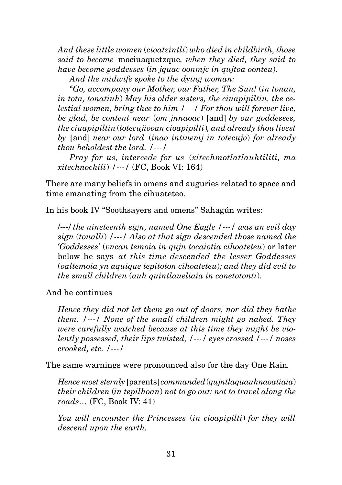*And these little women* (*cioatzintli*) *who died in childbirth, those said to become* mociuaquetzque*, when they died, they said to have become goddesses* (*in jquac oonmjc in qujtoa oonteu*)*.*

*And the midwife spoke to the dying woman:*

*"Go, accompany our Mother, our Father, The Sun!* (*in tonan, in tota, tonatiuh*) *May his older sisters, the ciuapipiltin, the celestial women, bring thee to him /---/ For thou will forever live, be glad, be content near* (*om jnnaoac*) [and] *by our goddesses, the ciuapipiltin* (*totecujiooan cioapipilti*)*, and already thou livest by* [and] *near our lord* (*inao intinemj in totecujo*) *for already thou beholdest the lord. /---/*

*Pray for us, intercede for us* (*xitechmotlatlauhtiliti, ma xitechnochili*) */---/* (FC, Book VI: 164)

There are many beliefs in omens and auguries related to space and time emanating from the cihuateteo.

In his book IV "Soothsayers and omens" Sahagún writes:

/---/ *the nineteenth sign, named One Eagle /---/ was an evil day sign* (*tonalli*) */---/ Also at that sign descended those named the 'Goddesses'* (*vncan temoia in qujn tocaiotia cihoateteu*) or later below he says *at this time descended the lesser Goddesses* (*oaltemoia yn aquique tepitoton cihoateteu*)*; and they did evil to the small children* (*auh quintlaueliaia in conetotonti*)*.*

And he continues

*Hence they did not let them go out of doors, nor did they bathe them. /---/ None of the small children might go naked. They were carefully watched because at this time they might be violently possessed, their lips twisted, /---/ eyes crossed /---/ noses crooked, etc. /---/*

The same warnings were pronounced also for the day One Rain*.*

*Hence most sternly* [parents] *commanded* (*qujntlaquauhnaoatiaia*) *their children* (*in tepilhoan*) *not to go out; not to travel along the roads…* (FC, Book IV: 41)

*You will encounter the Princesses* (*in cioapipilti*) *for they will descend upon the earth.*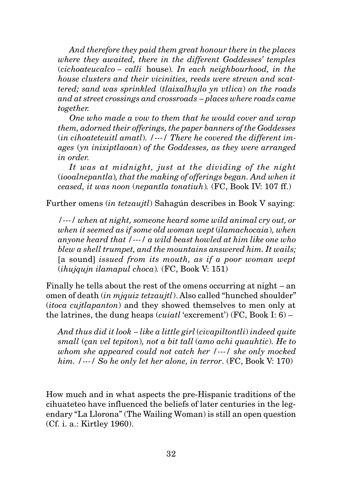*And therefore they paid them great honour there in the places where they awaited, there in the different Goddesses' temples* (*cichoateucalco – calli* house)*. In each neighbourhood, in the house clusters and their vicinities, reeds were strewn and scattered; sand was sprinkled* (*tlaixalhujlo yn vtlica*) *on the roads and at street crossings and crossroads – places where roads came together.*

*One who made a vow to them that he would cover and wrap them, adorned their offerings, the paper banners of the Goddesses* (*in cihoateteuitl amatl*)*. /---/ There he covered the different images* (*yn inixiptlaoan*) *of the Goddesses, as they were arranged in order.*

*It was at midnight, just at the dividing of the night* (*iooalnepantla*)*, that the making of offerings began. And when it ceased, it was noon* (*nepantla tonatiuh*)*.* (FC, Book IV: 107 ff.)

Further omens (*in tetzaujtl*) Sahagún describes in Book V saying:

*/---/ when at night, someone heard some wild animal cry out, or when it seemed as if some old woman wept* (*ilamachocaia*)*, when anyone heard that /---/ a wild beast howled at him like one who blew a shell trumpet, and the mountains answered him. It wails;* [a sound] *issued from its mouth, as if a poor woman wept* (*ihujqujn ilamapul choca*)*.* (FC, Book V: 151)

Finally he tells about the rest of the omens occurring at night – an omen of death (*in mjquiz tetzaujtl*). Also called "hunched shoulder" (*itoca cujtlapanton*) and they showed themselves to men only at the latrines, the dung heaps (*cuiatl* 'excrement') (FC, Book I: 6) –

*And thus did it look – like a little girl* (*civapiltontli*) *indeed quite small* (*çan vel tepiton*)*, not a bit tall* (*amo achi quauhtic*)*. He to whom she appeared could not catch her /---/ she only mocked him. /---/ So he only let her alone, in terror*. (FC, Book V: 170)

How much and in what aspects the pre-Hispanic traditions of the cihuateteo have influenced the beliefs of later centuries in the legendary "La Llorona" (The Wailing Woman) is still an open question (Cf. i. a.: Kirtley 1960).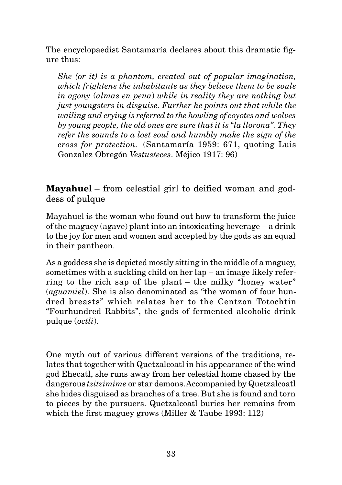The encyclopaedist Santamaría declares about this dramatic figure thus:

*She (or it) is a phantom, created out of popular imagination, which frightens the inhabitants as they believe them to be souls in agony* (*almas en pena*) *while in reality they are nothing but just youngsters in disguise. Further he points out that while the wailing and crying is referred to the howling of coyotes and wolves by young people, the old ones are sure that it is "la llorona". They refer the sounds to a lost soul and humbly make the sign of the cross for protection.* (Santamaría 1959: 671, quoting Luis Gonzalez Obregón *Vestusteces*. Méjico 1917: 96)

**Mayahuel** – from celestial girl to deified woman and goddess of pulque

Mayahuel is the woman who found out how to transform the juice of the maguey (agave) plant into an intoxicating beverage – a drink to the joy for men and women and accepted by the gods as an equal in their pantheon.

As a goddess she is depicted mostly sitting in the middle of a maguey, sometimes with a suckling child on her lap – an image likely referring to the rich sap of the plant – the milky "honey water" (*aguamiel*). She is also denominated as "the woman of four hundred breasts" which relates her to the Centzon Totochtin "Fourhundred Rabbits", the gods of fermented alcoholic drink pulque (*octli*).

One myth out of various different versions of the traditions, relates that together with Quetzalcoatl in his appearance of the wind god Ehecatl, she runs away from her celestial home chased by the dangerous *tzitzimime* or star demons. Accompanied by Quetzalcoatl she hides disguised as branches of a tree. But she is found and torn to pieces by the pursuers. Quetzalcoatl buries her remains from which the first maguey grows (Miller & Taube 1993: 112)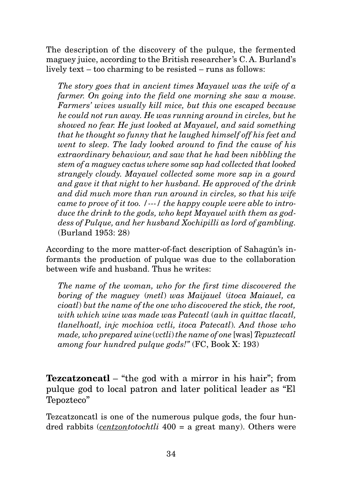The description of the discovery of the pulque, the fermented maguey juice, according to the British researcher's C. A. Burland's lively text – too charming to be resisted – runs as follows:

*The story goes that in ancient times Mayauel was the wife of a farmer. On going into the field one morning she saw a mouse. Farmers' wives usually kill mice, but this one escaped because he could not run away. He was running around in circles, but he showed no fear. He just looked at Mayauel, and said something that he thought so funny that he laughed himself off his feet and went to sleep. The lady looked around to find the cause of his extraordinary behaviour, and saw that he had been nibbling the stem of a maguey cactus where some sap had collected that looked strangely cloudy. Mayauel collected some more sap in a gourd and gave it that night to her husband. He approved of the drink and did much more than run around in circles, so that his wife came to prove of it too. /---/ the happy couple were able to introduce the drink to the gods, who kept Mayauel with them as goddess of Pulque, and her husband Xochipilli as lord of gambling.* (Burland 1953: 28)

According to the more matter-of-fact description of Sahagún's informants the production of pulque was due to the collaboration between wife and husband. Thus he writes:

*The name of the woman, who for the first time discovered the boring of the maguey* (*metl*) *was Maijauel* (*itoca Maiauel, ca cioatl*) *but the name of the one who discovered the stick, the root, with which wine was made was Patecatl* (*auh in quittac tlacatl, tlanelhoatl, injc mochioa vctli, itoca Patecatl*)*. And those who made, who prepared wine* (*vctli*) *the name of one* [was] *Tepuztecatl among four hundred pulque gods!"* (FC, Book X: 193)

**Tezcatzoncatl** – "the god with a mirror in his hair"; from pulque god to local patron and later political leader as "El Tepozteco"

Tezcatzoncatl is one of the numerous pulque gods, the four hundred rabbits (*centzontotochtli* 400 = a great many). Others were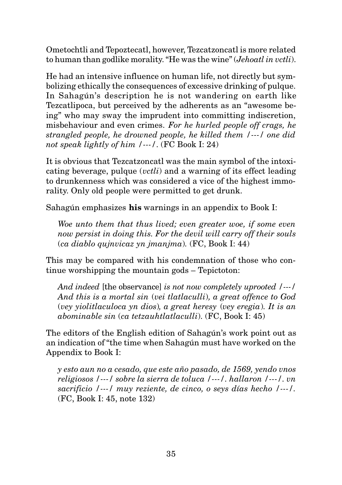Ometochtli and Tepoztecatl, however, Tezcatzoncatl is more related to human than godlike morality. "He was the wine" (*Jehoatl in vctli*).

He had an intensive influence on human life, not directly but symbolizing ethically the consequences of excessive drinking of pulque. In Sahagún's description he is not wandering on earth like Tezcatlipoca, but perceived by the adherents as an "awesome being" who may sway the imprudent into committing indiscretion, misbehaviour and even crimes. *For he hurled people off crags, he strangled people, he drowned people, he killed them /---/ one did not speak lightly of him /---/*. (FC Book I: 24)

It is obvious that Tezcatzoncatl was the main symbol of the intoxicating beverage, pulque (*vctli*) and a warning of its effect leading to drunkenness which was considered a vice of the highest immorality. Only old people were permitted to get drunk.

Sahagún emphasizes **his** warnings in an appendix to Book I:

*Woe unto them that thus lived; even greater woe, if some even now persist in doing this. For the devil will carry off their souls* (*ca diablo qujnvicaz yn jmanjma*)*.* (FC, Book I: 44)

This may be compared with his condemnation of those who continue worshipping the mountain gods – Tepictoton:

*And indeed* [the observance] *is not now completely uprooted /---/ And this is a mortal sin* (*vei tlatlaculli*)*, a great offence to God* (*vey yiolitlaculoca yn dios*)*, a great heresy* (*vey eregia*)*. It is an abominable sin* (*ca tetzauhtlatlaculli*). (FC, Book I: 45)

The editors of the English edition of Sahagún's work point out as an indication of "the time when Sahagún must have worked on the Appendix to Book I:

*y esto aun no a cesado, que este año pasado, de 1569, yendo vnos religiosos /---/ sobre la sierra de toluca /---/. hallaron /---/. vn sacrificio /---/ muy reziente, de cinco, o seys días hecho /---/.* (FC, Book I: 45, note 132)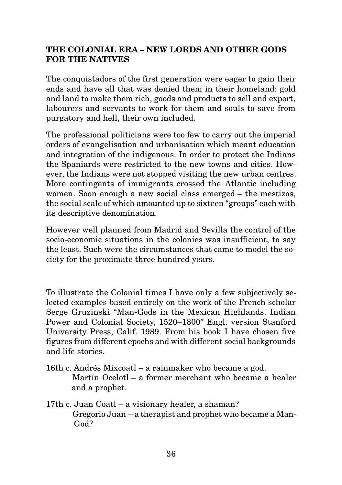### **THE COLONIAL ERA – NEW LORDS AND OTHER GODS FOR THE NATIVES**

The conquistadors of the first generation were eager to gain their ends and have all that was denied them in their homeland: gold and land to make them rich, goods and products to sell and export, labourers and servants to work for them and souls to save from purgatory and hell, their own included.

The professional politicians were too few to carry out the imperial orders of evangelisation and urbanisation which meant education and integration of the indigenous. In order to protect the Indians the Spaniards were restricted to the new towns and cities. However, the Indians were not stopped visiting the new urban centres. More contingents of immigrants crossed the Atlantic including women. Soon enough a new social class emerged – the mestizos, the social scale of which amounted up to sixteen "groups" each with its descriptive denomination.

However well planned from Madrid and Sevilla the control of the socio-economic situations in the colonies was insufficient, to say the least. Such were the circumstances that came to model the society for the proximate three hundred years.

To illustrate the Colonial times I have only a few subjectively selected examples based entirely on the work of the French scholar Serge Gruzinski "Man-Gods in the Mexican Highlands. Indian Power and Colonial Society, 1520–1800" Engl. version Stanford University Press, Calif. 1989. From his book I have chosen five figures from different epochs and with different social backgrounds and life stories.

- 16th c. Andrés Mixcoatl a rainmaker who became a god. Martín Ocelotl – a former merchant who became a healer and a prophet.
- 17th c. Juan Coatl a visionary healer, a shaman? Gregorio Juan – a therapist and prophet who became a Man- God?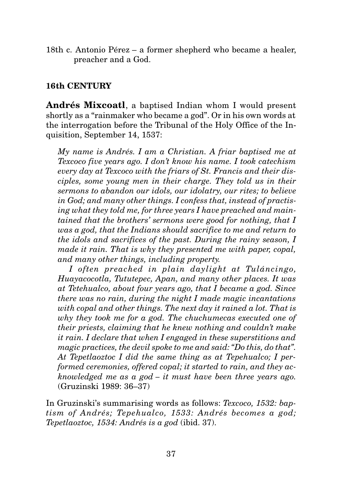18th c. Antonio Pérez – a former shepherd who became a healer, preacher and a God.

### **16th CENTURY**

**Andrés Mixcoatl**, a baptised Indian whom I would present shortly as a "rainmaker who became a god". Or in his own words at the interrogation before the Tribunal of the Holy Office of the Inquisition, September 14, 1537:

*My name is Andrés. I am a Christian. A friar baptised me at Texcoco five years ago. I don't know his name. I took catechism every day at Texcoco with the friars of St. Francis and their disciples, some young men in their charge. They told us in their sermons to abandon our idols, our idolatry, our rites; to believe in God; and many other things. I confess that, instead of practising what they told me, for three years I have preached and maintained that the brothers' sermons were good for nothing, that I was a god, that the Indians should sacrifice to me and return to the idols and sacrifices of the past. During the rainy season, I made it rain. That is why they presented me with paper, copal, and many other things, including property.*

*I often preached in plain daylight at Tuláncingo, Huayacocotla, Tututepec, Apan, and many other places. It was at Tetehualco, about four years ago, that I became a god. Since there was no rain, during the night I made magic incantations with copal and other things. The next day it rained a lot. That is why they took me for a god. The chuchumecas executed one of their priests, claiming that he knew nothing and couldn't make it rain. I declare that when I engaged in these superstitions and magic practices, the devil spoke to me and said: "Do this, do that". At Tepetlaoztoc I did the same thing as at Tepehualco; I performed ceremonies, offered copal; it started to rain, and they acknowledged me as a god – it must have been three years ago.* (Gruzinski 1989: 36–37)

In Gruzinski's summarising words as follows: *Texcoco, 1532: baptism of Andrés; Tepehualco, 1533: Andrés becomes a god; Tepetlaoztoc, 1534: Andrés is a god* (ibid. 37).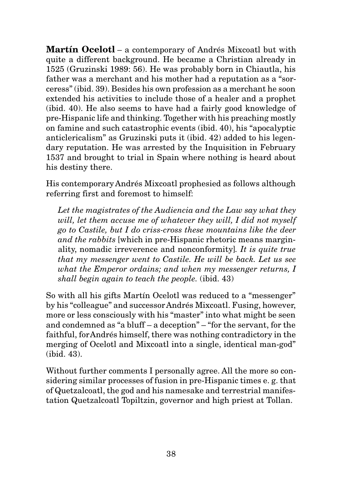**Martín Ocelotl** – a contemporary of Andrés Mixcoatl but with quite a different background. He became a Christian already in 1525 (Gruzinski 1989: 56). He was probably born in Chiautla, his father was a merchant and his mother had a reputation as a "sorceress" (ibid. 39). Besides his own profession as a merchant he soon extended his activities to include those of a healer and a prophet (ibid. 40). He also seems to have had a fairly good knowledge of pre-Hispanic life and thinking. Together with his preaching mostly on famine and such catastrophic events (ibid. 40), his "apocalyptic anticlericalism" as Gruzinski puts it (ibid. 42) added to his legendary reputation. He was arrested by the Inquisition in February 1537 and brought to trial in Spain where nothing is heard about his destiny there.

His contemporary Andrés Mixcoatl prophesied as follows although referring first and foremost to himself:

*Let the magistrates of the Audiencia and the Law say what they will, let them accuse me of whatever they will, I did not myself go to Castile, but I do criss-cross these mountains like the deer and the rabbits* [which in pre-Hispanic rhetoric means marginality, nomadic irreverence and nonconformity]*. It is quite true that my messenger went to Castile. He will be back. Let us see what the Emperor ordains; and when my messenger returns, I shall begin again to teach the people.* (ibid. 43)

So with all his gifts Martín Ocelotl was reduced to a "messenger" by his "colleague" and successor Andrés Mixcoatl. Fusing, however, more or less consciously with his "master" into what might be seen and condemned as "a bluff – a deception" – "for the servant, for the faithful, for Andrés himself, there was nothing contradictory in the merging of Ocelotl and Mixcoatl into a single, identical man-god" (ibid. 43).

Without further comments I personally agree. All the more so considering similar processes of fusion in pre-Hispanic times e. g. that of Quetzalcoatl, the god and his namesake and terrestrial manifestation Quetzalcoatl Topiltzin, governor and high priest at Tollan.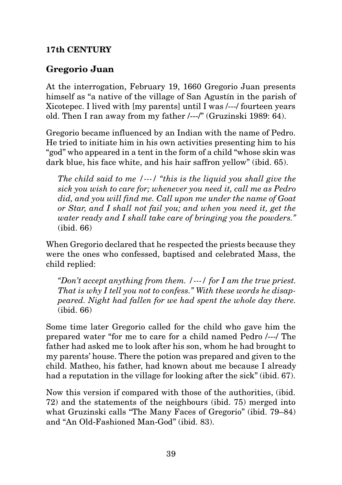### **17th CENTURY**

## **Gregorio Juan**

At the interrogation, February 19, 1660 Gregorio Juan presents himself as "a native of the village of San Agustín in the parish of Xicotepec. I lived with [my parents] until I was /---/ fourteen years old. Then I ran away from my father /---/" (Gruzinski 1989: 64).

Gregorio became influenced by an Indian with the name of Pedro. He tried to initiate him in his own activities presenting him to his "god" who appeared in a tent in the form of a child "whose skin was dark blue, his face white, and his hair saffron yellow" (ibid. 65).

*The child said to me /---/ "this is the liquid you shall give the sick you wish to care for; whenever you need it, call me as Pedro did, and you will find me. Call upon me under the name of Goat or Star, and I shall not fail you; and when you need it, get the water ready and I shall take care of bringing you the powders."* (ibid. 66)

When Gregorio declared that he respected the priests because they were the ones who confessed, baptised and celebrated Mass, the child replied:

*"Don't accept anything from them. /---/ for I am the true priest. That is why I tell you not to confess." With these words he disappeared. Night had fallen for we had spent the whole day there.* (ibid. 66)

Some time later Gregorio called for the child who gave him the prepared water "for me to care for a child named Pedro /---/ The father had asked me to look after his son, whom he had brought to my parents' house. There the potion was prepared and given to the child. Matheo, his father, had known about me because I already had a reputation in the village for looking after the sick" (ibid. 67).

Now this version if compared with those of the authorities, (ibid. 72) and the statements of the neighbours (ibid. 75) merged into what Gruzinski calls "The Many Faces of Gregorio" (ibid. 79–84) and "An Old-Fashioned Man-God" (ibid. 83).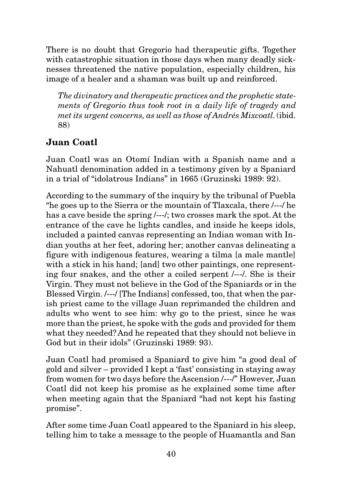There is no doubt that Gregorio had therapeutic gifts. Together with catastrophic situation in those days when many deadly sicknesses threatened the native population, especially children, his image of a healer and a shaman was built up and reinforced.

*The divinatory and therapeutic practices and the prophetic statements of Gregorio thus took root in a daily life of tragedy and met its urgent concerns, as well as those of Andrés Mixcoatl.* (ibid. 88)

# **Juan Coatl**

Juan Coatl was an Otomí Indian with a Spanish name and a Nahuatl denomination added in a testimony given by a Spaniard in a trial of "idolatrous Indians" in 1665 (Gruzinski 1989: 92).

According to the summary of the inquiry by the tribunal of Puebla "he goes up to the Sierra or the mountain of Tlaxcala, there /---/ he has a cave beside the spring  $\frac{\lambda}{\lambda}$ ; two crosses mark the spot. At the entrance of the cave he lights candles, and inside he keeps idols, included a painted canvas representing an Indian woman with Indian youths at her feet, adoring her; another canvas delineating a figure with indigenous features, wearing a tilma [a male mantle] with a stick in his hand; [and] two other paintings, one representing four snakes, and the other a coiled serpent /---/. She is their Virgin. They must not believe in the God of the Spaniards or in the Blessed Virgin. /---/ [The Indians] confessed, too, that when the parish priest came to the village Juan reprimanded the children and adults who went to see him: why go to the priest, since he was more than the priest, he spoke with the gods and provided for them what they needed? And he repeated that they should not believe in God but in their idols" (Gruzinski 1989: 93).

Juan Coatl had promised a Spaniard to give him "a good deal of gold and silver – provided I kept a 'fast' consisting in staying away from women for two days before the Ascension /---/" However, Juan Coatl did not keep his promise as he explained some time after when meeting again that the Spaniard "had not kept his fasting promise".

After some time Juan Coatl appeared to the Spaniard in his sleep, telling him to take a message to the people of Huamantla and San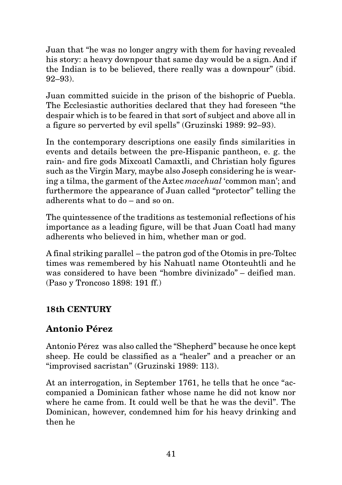Juan that "he was no longer angry with them for having revealed his story: a heavy downpour that same day would be a sign. And if the Indian is to be believed, there really was a downpour" (ibid. 92–93).

Juan committed suicide in the prison of the bishopric of Puebla. The Ecclesiastic authorities declared that they had foreseen "the despair which is to be feared in that sort of subject and above all in a figure so perverted by evil spells" (Gruzinski 1989: 92–93).

In the contemporary descriptions one easily finds similarities in events and details between the pre-Hispanic pantheon, e. g. the rain- and fire gods Mixcoatl Camaxtli, and Christian holy figures such as the Virgin Mary, maybe also Joseph considering he is wearing a tilma, the garment of the Aztec *macehual* 'common man'; and furthermore the appearance of Juan called "protector" telling the adherents what to do – and so on.

The quintessence of the traditions as testemonial reflections of his importance as a leading figure, will be that Juan Coatl had many adherents who believed in him, whether man or god.

A final striking parallel – the patron god of the Otomis in pre-Toltec times was remembered by his Nahuatl name Otonteuhtli and he was considered to have been "hombre divinizado" – deified man. (Paso y Troncoso 1898: 191 ff.)

### **18th CENTURY**

# **Antonio Pérez**

Antonio Pérez was also called the "Shepherd" because he once kept sheep. He could be classified as a "healer" and a preacher or an "improvised sacristan" (Gruzinski 1989: 113).

At an interrogation, in September 1761, he tells that he once "accompanied a Dominican father whose name he did not know nor where he came from. It could well be that he was the devil". The Dominican, however, condemned him for his heavy drinking and then he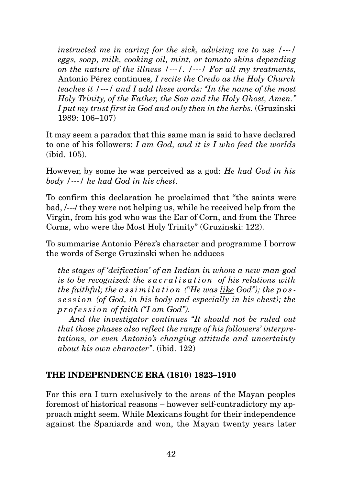*instructed me in caring for the sick, advising me to use /---/ eggs, soap, milk, cooking oil, mint, or tomato skins depending on the nature of the illness /---/. /---/ For all my treatments,* Antonio Pérez continues*, I recite the Credo as the Holy Church teaches it /---/ and I add these words: "In the name of the most Holy Trinity, of the Father, the Son and the Holy Ghost, Amen." I put my trust first in God and only then in the herbs.* (Gruzinski 1989: 106–107)

It may seem a paradox that this same man is said to have declared to one of his followers: *I am God, and it is I who feed the worlds* (ibid. 105).

However, by some he was perceived as a god: *He had God in his body /---/ he had God in his chest*.

To confirm this declaration he proclaimed that "the saints were bad, /---/ they were not helping us, while he received help from the Virgin, from his god who was the Ear of Corn, and from the Three Corns, who were the Most Holy Trinity" (Gruzinski: 122).

To summarise Antonio Pérez's character and programme I borrow the words of Serge Gruzinski when he adduces

*the stages of 'deification' of an Indian in whom a new man-god is to be recognized: the s a c r a l i s a t i o n of his relations with the faithful; the assimilation ("He was like God"); the possession (of God, in his body and especially in his chest); the p r o f e s s i o n of faith ("I am God").*

*And the investigator continues "It should not be ruled out that those phases also reflect the range of his followers' interpretations, or even Antonio's changing attitude and uncertainty about his own character"*. (ibid. 122)

#### **THE INDEPENDENCE ERA (1810) 1823–1910**

For this era I turn exclusively to the areas of the Mayan peoples foremost of historical reasons – however self-contradictory my approach might seem. While Mexicans fought for their independence against the Spaniards and won, the Mayan twenty years later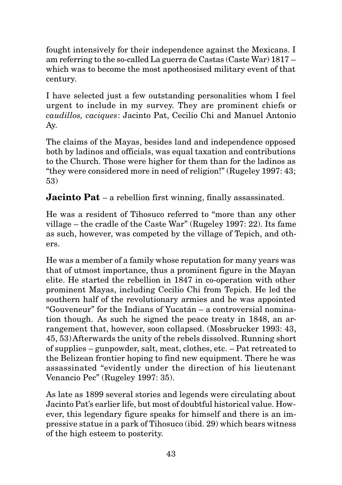fought intensively for their independence against the Mexicans. I am referring to the so-called La guerra de Castas (Caste War) 1817 – which was to become the most apotheosised military event of that century.

I have selected just a few outstanding personalities whom I feel urgent to include in my survey. They are prominent chiefs or *caudillos, caciques*: Jacinto Pat, Cecilio Chi and Manuel Antonio Ay.

The claims of the Mayas, besides land and independence opposed both by ladinos and officials, was equal taxation and contributions to the Church. Those were higher for them than for the ladinos as "they were considered more in need of religion!" (Rugeley 1997: 43; 53)

**Jacinto Pat** – a rebellion first winning, finally assassinated.

He was a resident of Tihosuco referred to "more than any other village – the cradle of the Caste War" (Rugeley 1997: 22). Its fame as such, however, was competed by the village of Tepich, and others.

He was a member of a family whose reputation for many years was that of utmost importance, thus a prominent figure in the Mayan elite. He started the rebellion in 1847 in co-operation with other prominent Mayas, including Cecilio Chi from Tepich. He led the southern half of the revolutionary armies and he was appointed "Gouveneur" for the Indians of Yucatán – a controversial nomination though. As such he signed the peace treaty in 1848, an arrangement that, however, soon collapsed. (Mossbrucker 1993: 43, 45, 53) Afterwards the unity of the rebels dissolved. Running short of supplies – gunpowder, salt, meat, clothes, etc. – Pat retreated to the Belizean frontier hoping to find new equipment. There he was assassinated "evidently under the direction of his lieutenant Venancio Pec" (Rugeley 1997: 35).

As late as 1899 several stories and legends were circulating about Jacinto Pat's earlier life, but most of doubtful historical value. However, this legendary figure speaks for himself and there is an impressive statue in a park of Tihosuco (ibid. 29) which bears witness of the high esteem to posterity.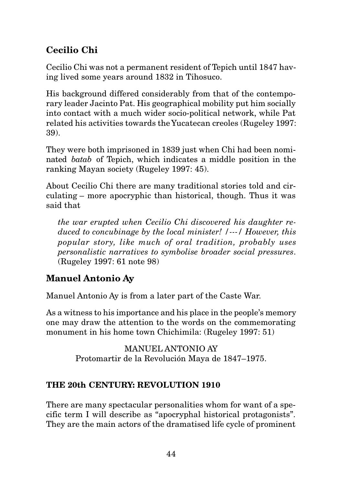# **Cecilio Chi**

Cecilio Chi was not a permanent resident of Tepich until 1847 having lived some years around 1832 in Tihosuco.

His background differed considerably from that of the contemporary leader Jacinto Pat. His geographical mobility put him socially into contact with a much wider socio-political network, while Pat related his activities towards the Yucatecan creoles (Rugeley 1997: 39).

They were both imprisoned in 1839 just when Chi had been nominated *batab* of Tepich, which indicates a middle position in the ranking Mayan society (Rugeley 1997: 45).

About Cecilio Chi there are many traditional stories told and circulating – more apocryphic than historical, though. Thus it was said that

*the war erupted when Cecilio Chi discovered his daughter reduced to concubinage by the local minister! /---/ However, this popular story, like much of oral tradition, probably uses personalistic narratives to symbolise broader social pressures*. (Rugeley 1997: 61 note 98)

# **Manuel Antonio Ay**

Manuel Antonio Ay is from a later part of the Caste War.

As a witness to his importance and his place in the people's memory one may draw the attention to the words on the commemorating monument in his home town Chichimila: (Rugeley 1997: 51)

> MANUEL ANTONIO AY Protomartir de la Revolución Maya de 1847–1975.

### **THE 20th CENTURY: REVOLUTION 1910**

There are many spectacular personalities whom for want of a specific term I will describe as "apocryphal historical protagonists". They are the main actors of the dramatised life cycle of prominent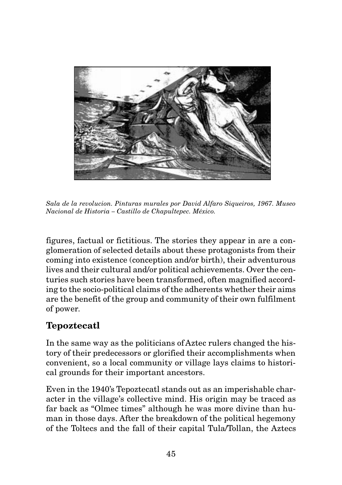

*Sala de la revolucion. Pinturas murales por David Alfaro Siqueiros, 1967. Museo Nacional de Historia – Castillo de Chapultepec. México.*

figures, factual or fictitious. The stories they appear in are a conglomeration of selected details about these protagonists from their coming into existence (conception and/or birth), their adventurous lives and their cultural and/or political achievements. Over the centuries such stories have been transformed, often magnified according to the socio-political claims of the adherents whether their aims are the benefit of the group and community of their own fulfilment of power.

# **Tepoztecatl**

In the same way as the politicians of Aztec rulers changed the history of their predecessors or glorified their accomplishments when convenient, so a local community or village lays claims to historical grounds for their important ancestors.

Even in the 1940's Tepoztecatl stands out as an imperishable character in the village's collective mind. His origin may be traced as far back as "Olmec times" although he was more divine than human in those days. After the breakdown of the political hegemony of the Toltecs and the fall of their capital Tula/Tollan, the Aztecs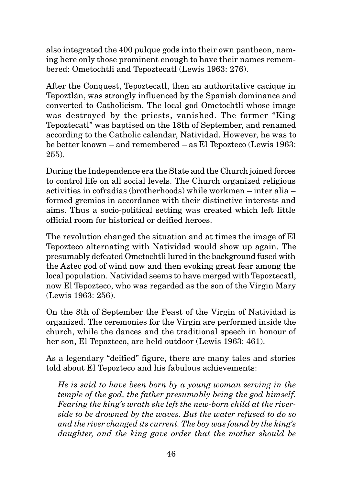also integrated the 400 pulque gods into their own pantheon, naming here only those prominent enough to have their names remembered: Ometochtli and Tepoztecatl (Lewis 1963: 276).

After the Conquest, Tepoztecatl, then an authoritative cacique in Tepoztlán, was strongly influenced by the Spanish dominance and converted to Catholicism. The local god Ometochtli whose image was destroyed by the priests, vanished. The former "King Tepoztecatl" was baptised on the 18th of September, and renamed according to the Catholic calendar, Natividad. However, he was to be better known – and remembered – as El Tepozteco (Lewis 1963: 255).

During the Independence era the State and the Church joined forces to control life on all social levels. The Church organized religious activities in cofradías (brotherhoods) while workmen – inter alia – formed gremios in accordance with their distinctive interests and aims. Thus a socio-political setting was created which left little official room for historical or deified heroes.

The revolution changed the situation and at times the image of El Tepozteco alternating with Natividad would show up again. The presumably defeated Ometochtli lured in the background fused with the Aztec god of wind now and then evoking great fear among the local population. Natividad seems to have merged with Tepoztecatl, now El Tepozteco, who was regarded as the son of the Virgin Mary (Lewis 1963: 256).

On the 8th of September the Feast of the Virgin of Natividad is organized. The ceremonies for the Virgin are performed inside the church, while the dances and the traditional speech in honour of her son, El Tepozteco, are held outdoor (Lewis 1963: 461).

As a legendary "deified" figure, there are many tales and stories told about El Tepozteco and his fabulous achievements:

*He is said to have been born by a young woman serving in the temple of the god, the father presumably being the god himself. Fearing the king's wrath she left the new-born child at the riverside to be drowned by the waves. But the water refused to do so and the river changed its current. The boy was found by the king's daughter, and the king gave order that the mother should be*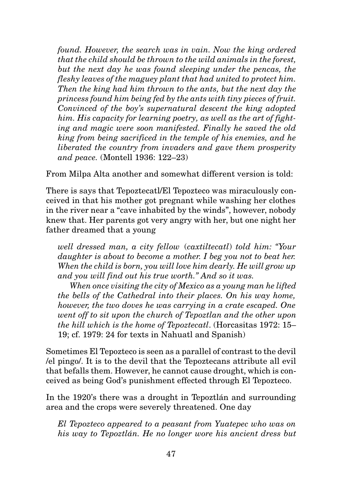*found. However, the search was in vain. Now the king ordered that the child should be thrown to the wild animals in the forest, but the next day he was found sleeping under the pencas, the fleshy leaves of the maguey plant that had united to protect him. Then the king had him thrown to the ants, but the next day the princess found him being fed by the ants with tiny pieces of fruit. Convinced of the boy's supernatural descent the king adopted him. His capacity for learning poetry, as well as the art of fighting and magic were soon manifested. Finally he saved the old king from being sacrificed in the temple of his enemies, and he liberated the country from invaders and gave them prosperity and peace.* (Montell 1936: 122–23)

From Milpa Alta another and somewhat different version is told:

There is says that Tepoztecatl/El Tepozteco was miraculously conceived in that his mother got pregnant while washing her clothes in the river near a "cave inhabited by the winds", however, nobody knew that. Her parents got very angry with her, but one night her father dreamed that a young

*well dressed man, a city fellow* (*caxtiltecatl*) *told him: "Your daughter is about to become a mother. I beg you not to beat her. When the child is born, you will love him dearly. He will grow up and you will find out his true worth." And so it was.*

*When once visiting the city of Mexico as a young man he lifted the bells of the Cathedral into their places. On his way home, however, the two doves he was carrying in a crate escaped. One went off to sit upon the church of Tepoztlan and the other upon the hill which is the home of Tepoztecatl*. (Horcasitas 1972: 15– 19; cf. 1979: 24 for texts in Nahuatl and Spanish)

Sometimes El Tepozteco is seen as a parallel of contrast to the devil /el pingo/. It is to the devil that the Tepoztecans attribute all evil that befalls them. However, he cannot cause drought, which is conceived as being God's punishment effected through El Tepozteco.

In the 1920's there was a drought in Tepoztlán and surrounding area and the crops were severely threatened. One day

*El Tepozteco appeared to a peasant from Yuatepec who was on his way to Tepoztlán. He no longer wore his ancient dress but*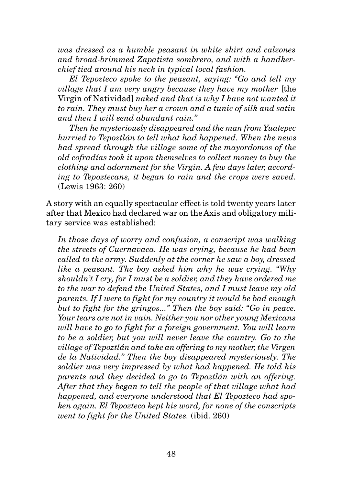*was dressed as a humble peasant in white shirt and calzones and broad-brimmed Zapatista sombrero, and with a handkerchief tied around his neck in typical local fashion.*

*El Tepozteco spoke to the peasant, saying: "Go and tell my village that I am very angry because they have my mother* [the Virgin of Natividad] *naked and that is why I have not wanted it to rain. They must buy her a crown and a tunic of silk and satin and then I will send abundant rain."*

*Then he mysteriously disappeared and the man from Yuatepec hurried to Tepoztlán to tell what had happened. When the news had spread through the village some of the mayordomos of the old cofradías took it upon themselves to collect money to buy the clothing and adornment for the Virgin. A few days later, according to Tepoztecans, it began to rain and the crops were saved.* (Lewis 1963: 260)

A story with an equally spectacular effect is told twenty years later after that Mexico had declared war on the Axis and obligatory military service was established:

*In those days of worry and confusion, a conscript was walking the streets of Cuernavaca. He was crying, because he had been called to the army. Suddenly at the corner he saw a boy, dressed like a peasant. The boy asked him why he was crying. "Why shouldn't I cry, for I must be a soldier, and they have ordered me to the war to defend the United States, and I must leave my old parents. If I were to fight for my country it would be bad enough but to fight for the gringos..." Then the boy said: "Go in peace. Your tears are not in vain. Neither you nor other young Mexicans will have to go to fight for a foreign government. You will learn to be a soldier, but you will never leave the country. Go to the village of Tepoztlán and take an offering to my mother, the Virgen de la Natividad." Then the boy disappeared mysteriously. The soldier was very impressed by what had happened. He told his parents and they decided to go to Tepoztlán with an offering. After that they began to tell the people of that village what had happened, and everyone understood that El Tepozteco had spoken again. El Tepozteco kept his word, for none of the conscripts went to fight for the United States.* (ibid. 260)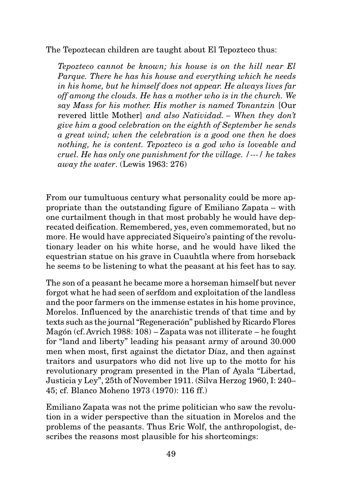The Tepoztecan children are taught about El Tepozteco thus:

*Tepozteco cannot be known; his house is on the hill near El Parque. There he has his house and everything which he needs in his home, but he himself does not appear. He always lives far off among the clouds. He has a mother who is in the church. We say Mass for his mother. His mother is named Tonantzin* [Our revered little Mother] *and also Natividad. – When they don't give him a good celebration on the eighth of September he sends a great wind; when the celebration is a good one then he does nothing, he is content. Tepozteco is a god who is loveable and cruel. He has only one punishment for the village. /---/ he takes away the water*. (Lewis 1963: 276)

From our tumultuous century what personality could be more appropriate than the outstanding figure of Emiliano Zapata – with one curtailment though in that most probably he would have deprecated deification. Remembered, yes, even commemorated, but no more. He would have appreciated Siqueiro's painting of the revolutionary leader on his white horse, and he would have liked the equestrian statue on his grave in Cuauhtla where from horseback he seems to be listening to what the peasant at his feet has to say.

The son of a peasant he became more a horseman himself but never forgot what he had seen of serfdom and exploitation of the landless and the poor farmers on the immense estates in his home province, Morelos. Influenced by the anarchistic trends of that time and by texts such as the journal "Regeneración" published by Ricardo Flores Magón (cf. Avrich 1988: 108) – Zapata was not illiterate – he fought for "land and liberty" leading his peasant army of around 30.000 men when most, first against the dictator Díaz, and then against traitors and usurpators who did not live up to the motto for his revolutionary program presented in the Plan of Ayala "Libertad, Justicia y Ley", 25th of November 1911. (Silva Herzog 1960, I: 240– 45; cf. Blanco Moheno 1973 (1970): 116 ff.)

Emiliano Zapata was not the prime politician who saw the revolution in a wider perspective than the situation in Morelos and the problems of the peasants. Thus Eric Wolf, the anthropologist, describes the reasons most plausible for his shortcomings: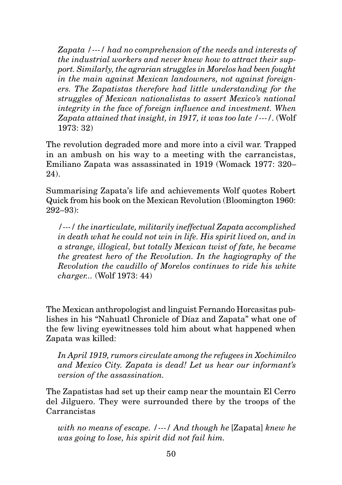*Zapata /---/ had no comprehension of the needs and interests of the industrial workers and never knew how to attract their support. Similarly, the agrarian struggles in Morelos had been fought in the main against Mexican landowners, not against foreigners. The Zapatistas therefore had little understanding for the struggles of Mexican nationalistas to assert Mexico's national integrity in the face of foreign influence and investment. When* Zapata attained that insight, in 1917, it was too late /---/. (Wolf 1973: 32)

The revolution degraded more and more into a civil war. Trapped in an ambush on his way to a meeting with the carrancistas, Emiliano Zapata was assassinated in 1919 (Womack 1977: 320– 24).

Summarising Zapata's life and achievements Wolf quotes Robert Quick from his book on the Mexican Revolution (Bloomington 1960: 292–93):

*/---/ the inarticulate, militarily ineffectual Zapata accomplished in death what he could not win in life. His spirit lived on, and in a strange, illogical, but totally Mexican twist of fate, he became the greatest hero of the Revolution. In the hagiography of the Revolution the caudillo of Morelos continues to ride his white charger...* (Wolf 1973: 44)

The Mexican anthropologist and linguist Fernando Horcasitas publishes in his "Nahuatl Chronicle of Díaz and Zapata" what one of the few living eyewitnesses told him about what happened when Zapata was killed:

*In April 1919, rumors circulate among the refugees in Xochimilco and Mexico City. Zapata is dead! Let us hear our informant's version of the assassination.*

The Zapatistas had set up their camp near the mountain El Cerro del Jilguero. They were surrounded there by the troops of the Carrancistas

*with no means of escape. /---/ And though he* [Zapata] *knew he was going to lose, his spirit did not fail him.*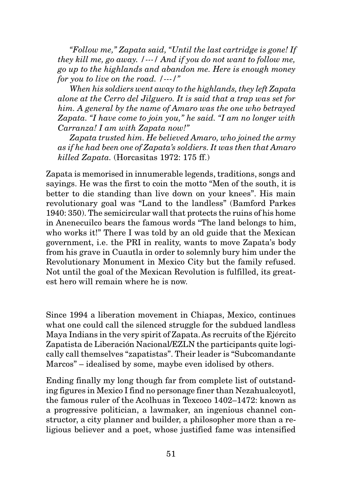*"Follow me," Zapata said, "Until the last cartridge is gone! If they kill me, go away. /---/ And if you do not want to follow me, go up to the highlands and abandon me. Here is enough money for you to live on the road. /---/"*

*When his soldiers went away to the highlands, they left Zapata alone at the Cerro del Jilguero. It is said that a trap was set for him. A general by the name of Amaro was the one who betrayed Zapata. "I have come to join you," he said. "I am no longer with Carranza! I am with Zapata now!"*

*Zapata trusted him. He believed Amaro, who joined the army as if he had been one of Zapata's soldiers. It was then that Amaro killed Zapata.* (Horcasitas 1972: 175 ff.)

Zapata is memorised in innumerable legends, traditions, songs and sayings. He was the first to coin the motto "Men of the south, it is better to die standing than live down on your knees". His main revolutionary goal was "Land to the landless" (Bamford Parkes 1940: 350). The semicircular wall that protects the ruins of his home in Anenecuilco bears the famous words "The land belongs to him, who works it!" There I was told by an old guide that the Mexican government, i.e. the PRI in reality, wants to move Zapata's body from his grave in Cuautla in order to solemnly bury him under the Revolutionary Monument in Mexico City but the family refused. Not until the goal of the Mexican Revolution is fulfilled, its greatest hero will remain where he is now.

Since 1994 a liberation movement in Chiapas, Mexico, continues what one could call the silenced struggle for the subdued landless Maya Indians in the very spirit of Zapata. As recruits of the Ejército Zapatista de Liberación Nacional/EZLN the participants quite logically call themselves "zapatistas". Their leader is "Subcomandante Marcos" – idealised by some, maybe even idolised by others.

Ending finally my long though far from complete list of outstanding figures in Mexico I find no personage finer than Nezahualcoyotl, the famous ruler of the Acolhuas in Texcoco 1402–1472: known as a progressive politician, a lawmaker, an ingenious channel constructor, a city planner and builder, a philosopher more than a religious believer and a poet, whose justified fame was intensified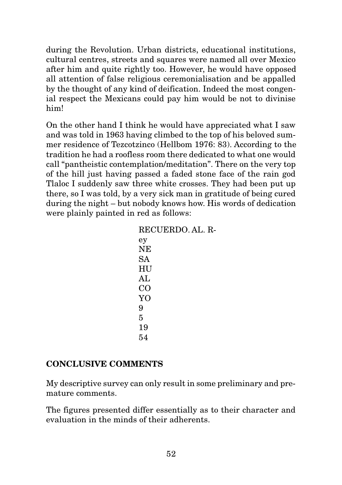during the Revolution. Urban districts, educational institutions, cultural centres, streets and squares were named all over Mexico after him and quite rightly too. However, he would have opposed all attention of false religious ceremonialisation and be appalled by the thought of any kind of deification. Indeed the most congenial respect the Mexicans could pay him would be not to divinise him!

On the other hand I think he would have appreciated what I saw and was told in 1963 having climbed to the top of his beloved summer residence of Tezcotzinco (Hellbom 1976: 83). According to the tradition he had a roofless room there dedicated to what one would call "pantheistic contemplation/meditation". There on the very top of the hill just having passed a faded stone face of the rain god Tlaloc I suddenly saw three white crosses. They had been put up there, so I was told, by a very sick man in gratitude of being cured during the night – but nobody knows how. His words of dedication were plainly painted in red as follows:

#### RECUERDO. AL. R-

ey **NE** SA **HU**  $AT$  $CO$ YO 9 5 19 54

#### **CONCLUSIVE COMMENTS**

My descriptive survey can only result in some preliminary and premature comments.

The figures presented differ essentially as to their character and evaluation in the minds of their adherents.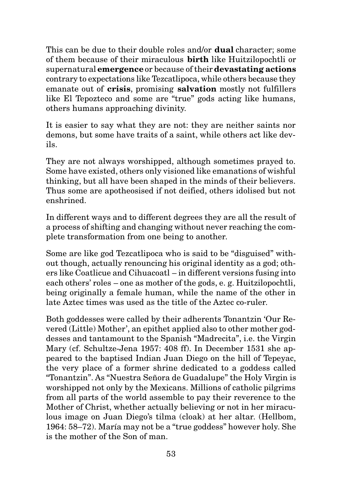This can be due to their double roles and/or **dual** character; some of them because of their miraculous **birth** like Huitzilopochtli or supernatural **emergence** or because of their **devastating actions** contrary to expectations like Tezcatlipoca, while others because they emanate out of **crisis**, promising **salvation** mostly not fulfillers like El Tepozteco and some are "true" gods acting like humans, others humans approaching divinity.

It is easier to say what they are not: they are neither saints nor demons, but some have traits of a saint, while others act like devils.

They are not always worshipped, although sometimes prayed to. Some have existed, others only visioned like emanations of wishful thinking, but all have been shaped in the minds of their believers. Thus some are apotheosised if not deified, others idolised but not enshrined.

In different ways and to different degrees they are all the result of a process of shifting and changing without never reaching the complete transformation from one being to another.

Some are like god Tezcatlipoca who is said to be "disguised" without though, actually renouncing his original identity as a god; others like Coatlicue and Cihuacoatl – in different versions fusing into each others' roles – one as mother of the gods, e. g. Huitzilopochtli, being originally a female human, while the name of the other in late Aztec times was used as the title of the Aztec co-ruler.

Both goddesses were called by their adherents Tonantzin 'Our Revered (Little) Mother', an epithet applied also to other mother goddesses and tantamount to the Spanish "Madrecita", i.e. the Virgin Mary (cf. Schultze-Jena 1957: 408 ff). In December 1531 she appeared to the baptised Indian Juan Diego on the hill of Tepeyac, the very place of a former shrine dedicated to a goddess called "Tonantzin". As "Nuestra Señora de Guadalupe" the Holy Virgin is worshipped not only by the Mexicans. Millions of catholic pilgrims from all parts of the world assemble to pay their reverence to the Mother of Christ, whether actually believing or not in her miraculous image on Juan Diego's tilma (cloak) at her altar. (Hellbom, 1964: 58–72). María may not be a "true goddess" however holy. She is the mother of the Son of man.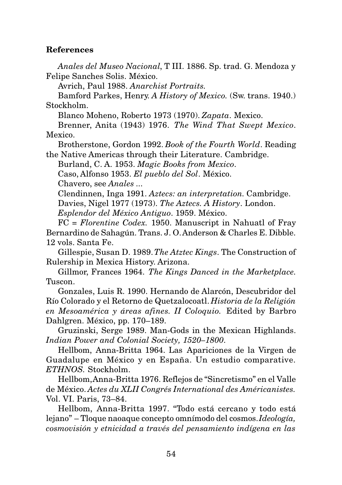#### **References**

*Anales del Museo Nacional*, T III. 1886. Sp. trad. G. Mendoza y Felipe Sanches Solis. México.

Avrich, Paul 1988. *Anarchist Portraits.*

Bamford Parkes, Henry. *A History of Mexico.* (Sw. trans. 1940.) Stockholm.

Blanco Moheno, Roberto 1973 (1970). *Zapata*. Mexico.

Brenner, Anita (1943) 1976. *The Wind That Swept Mexico*. Mexico.

Brotherstone, Gordon 1992. *Book of the Fourth World*. Reading the Native Americas through their Literature. Cambridge.

Burland, C. A. 1953. *Magic Books from Mexico*.

Caso, Alfonso 1953. *El pueblo del Sol*. México.

Chavero, see *Anales ...*

Clendinnen, Inga 1991. *Aztecs: an interpretation*. Cambridge. Davies, Nigel 1977 (1973). *The Aztecs. A History*. London. *Esplendor del México Antiguo*. 1959. México.

FC = *Florentine Codex.* 1950. Manuscript in Nahuatl of Fray Bernardino de Sahagún. Trans. J. O. Anderson & Charles E. Dibble. 12 vols. Santa Fe.

Gillespie, Susan D. 1989. *The Atztec Kings*. The Construction of Rulership in Mexica History. Arizona.

Gillmor, Frances 1964. *The Kings Danced in the Marketplace.* Tuscon.

Gonzales, Luis R. 1990. Hernando de Alarcón, Descubridor del Río Colorado y el Retorno de Quetzalocoatl. *Historia de la Religión en Mesoamérica y áreas afines. II Coloquio.* Edited by Barbro Dahlgren. México, pp. 170–189.

Gruzinski, Serge 1989. Man-Gods in the Mexican Highlands. *Indian Power and Colonial Society, 1520–1800*.

Hellbom, Anna-Britta 1964. Las Apariciones de la Virgen de Guadalupe en México y en España. Un estudio comparative. *ETHNOS.* Stockholm.

Hellbom, Anna-Britta 1976. Reflejos de "Sincretismo" en el Valle de México. *Actes du XLII Congrés International des Américanistes.* Vol. VI. Paris, 73–84.

Hellbom, Anna-Britta 1997. "Todo está cercano y todo está lejano" – Tloque naoaque concepto omnímodo del cosmos. *Ideología, cosmovisión y etnicidad a través del pensamiento indígena en las*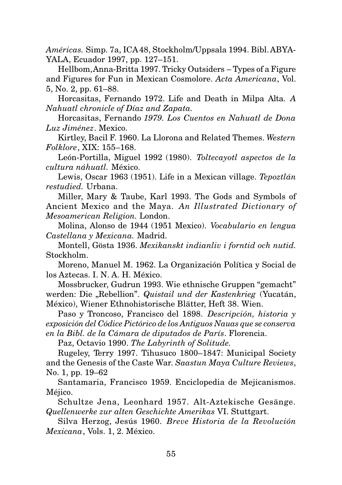*Américas.* Simp. 7a, ICA 48, Stockholm/Uppsala 1994. Bibl. ABYA-YALA, Ecuador 1997, pp. 127–151.

Hellbom, Anna-Britta 1997. Tricky Outsiders – Types of a Figure and Figures for Fun in Mexican Cosmolore. *Acta Americana*, Vol. 5, No. 2, pp. 61–88.

Horcasitas, Fernando 1972. Life and Death in Milpa Alta. *A Nahuatl chronicle of Díaz and Zapata.*

Horcasitas, Fernando *1979. Los Cuentos en Nahuatl de Dona Luz Jiménez*. Mexico.

Kirtley, Bacil F. 1960. La Llorona and Related Themes. *Western Folklore*, XIX: 155–168.

León-Portilla, Miguel 1992 (1980). *Toltecayotl aspectos de la cultura náhuatl.* México.

Lewis, Oscar 1963 (1951). Life in a Mexican village. *Tepoztlán restudied.* Urbana.

Miller, Mary & Taube, Karl 1993. The Gods and Symbols of Ancient Mexico and the Maya. *An Illustrated Dictionary of Mesoamerican Religion.* London.

Molina, Alonso de 1944 (1951 Mexico). *Vocabulario en lengua Castellana y Mexicana.* Madrid.

Montell, Gösta 1936. *Mexikanskt indianliv i forntid och nutid.* Stockholm.

Moreno, Manuel M. 1962. La Organización Política y Social de los Aztecas. I. N. A. H. México.

Mossbrucker, Gudrun 1993. Wie ethnische Gruppen "gemacht" werden: Die "Rebellion". Quistail und der Kastenkrieg (Yucatán, México), Wiener Ethnohistorische Blätter, Heft 38. Wien.

Paso y Troncoso, Francisco del 1898. *Descripción, historia y exposición del Códice Pictórico de los Antiguos Nauas que se conserva en la Bibl. de la Cámara de diputados de París*. Florencia.

Paz, Octavio 1990. *The Labyrinth of Solitude.*

Rugeley, Terry 1997. Tihusuco 1800–1847: Municipal Society and the Genesis of the Caste War. *Saastun Maya Culture Reviews*, No. 1, pp. 19–62

Santamaria, Francisco 1959. Enciclopedia de Mejicanismos. Méjico.

Schultze Jena, Leonhard 1957. Alt-Aztekische Gesänge. *Quellenwerke zur alten Geschichte Amerikas* VI. Stuttgart.

Silva Herzog, Jesús 1960. *Breve Historia de la Revolución Mexicana*, Vols. 1, 2. México.